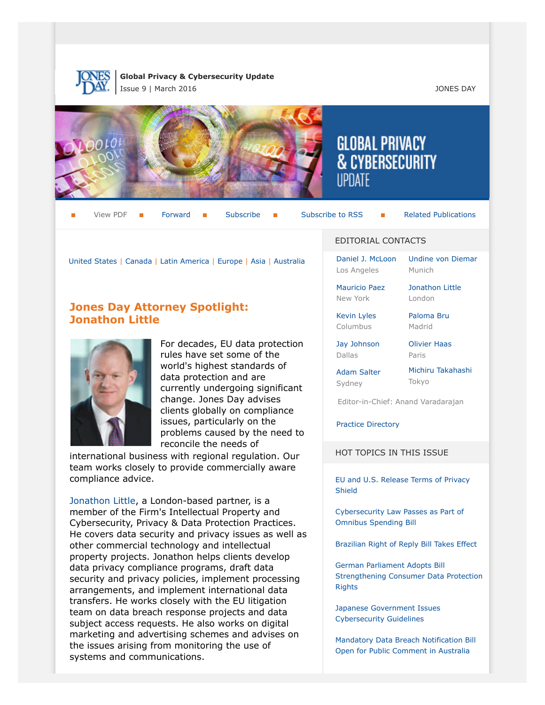

**Global Privacy & Cybersecurity Update** Issue 9 | March 2016 JONES DAY



View PDF  $\blacksquare$  [Forward](http://thewritestuff.jonesday.com/cff/7ff0732c1d8e5a12cb4b99878a2eec9c2453e5e6/)  $\blacksquare$  [Subscribe](http://www.jonesday.com/newsknowledge/publications.aspx)  $\blacksquare$  [Subscribe to RSS](http://www.jonesday.com/newsknowledge/rss.aspx)  $\blacksquare$  [Related Publications](http://www.jonesday.com/experiencepractices/servicedetail.aspx?serviceid=667cc279-13c5-42de-b91c-34b923a75c52§ion=Publications)

[Jonathon Little](http://www.jonesday.com/jrlittle) London

[United States](#page-1-0) | [Canada](#page-9-0) | [Latin America](#page-10-0) | [Europe](#page-11-0) | [Asia](#page-17-0) | [Australia](#page-19-0)

# **Jones Day Attorney Spotlight: Jonathon Little**



For decades, EU data protection rules have set some of the world's highest standards of data protection and are currently undergoing significant change. Jones Day advises clients globally on compliance issues, particularly on the problems caused by the need to reconcile the needs of

international business with regional regulation. Our team works closely to provide commercially aware compliance advice.

[Jonathon Little](http://www.jonesday.com/jrlittle), a London-based partner, is a member of the Firm's Intellectual Property and Cybersecurity, Privacy & Data Protection Practices. He covers data security and privacy issues as well as other commercial technology and intellectual property projects. Jonathon helps clients develop data privacy compliance programs, draft data security and privacy policies, implement processing arrangements, and implement international data transfers. He works closely with the EU litigation team on data breach response projects and data subject access requests. He also works on digital marketing and advertising schemes and advises on the issues arising from monitoring the use of systems and communications.

#### EDITORIAL CONTACTS

**GLOBAL PRIVACY** 

**& CYBERSECURITY** 

[Daniel J. McLoon](http://www.jonesday.com/djmcloon) Los Angeles [Undine von Diemar](http://www.jonesday.com/uvondiemar) Munich

[Mauricio Paez](http://www.jonesday.com/mfpaez) New York

[Kevin Lyles](http://www.jonesday.com/kdlyles)

[Paloma Bru](http://www.jonesday.com/pbru) Madrid

[Jay Johnson](http://www.jonesday.com/jjohnson) Dallas

Columbus

[Olivier Haas](http://www.jonesday.com/ohaas) Paris

[Adam Salter](http://www.jonesday.com/asalter) Sydney

[Michiru Takahashi](http://www.jonesday.com/mtakahashi/) Tokyo

Editor-in-Chief: Anand Varadarajan

[Practice Directory](#page-19-1)

HOT TOPICS IN THIS ISSUE

[EU and U.S. Release Terms of Privacy](#page-1-1) [Shield](#page-1-1)

[Cybersecurity Law Passes as Part of](#page-8-0) [Omnibus Spending Bill](#page-8-0)

[Brazilian Right of Reply Bill Takes Effect](#page-10-1)

[German Parliament Adopts Bill](#page-14-0) [Strengthening Consumer Data Protection](#page-14-0) [Rights](#page-14-0)

[Japanese Government Issues](#page-18-0) [Cybersecurity Guidelines](#page-18-0)

[Mandatory Data Breach Notification Bill](#page-19-2) [Open for Public Comment in Australia](#page-19-2)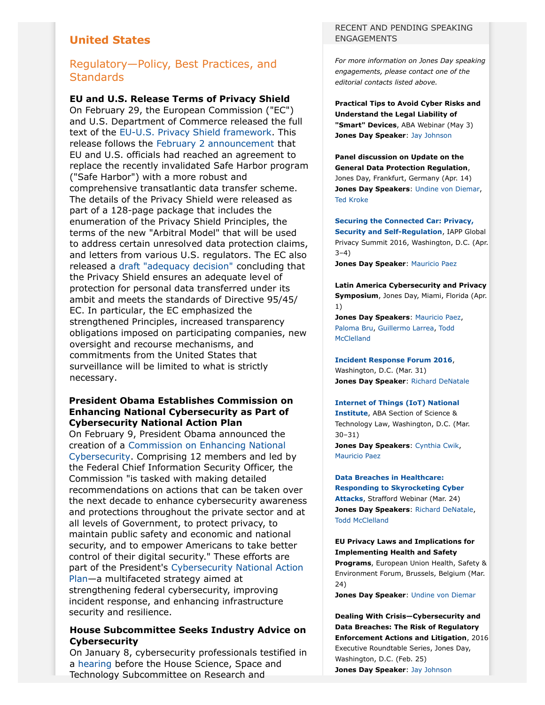# <span id="page-1-0"></span>**United States**

# Regulatory—Policy, Best Practices, and **Standards**

#### <span id="page-1-1"></span>**EU and U.S. Release Terms of Privacy Shield**

On February 29, the European Commission ("EC") and U.S. Department of Commerce released the full text of the [EU-U.S. Privacy Shield framework](https://www.commerce.gov/privacyshield). This release follows the [February 2 announcement](http://europa.eu/rapid/press-release_IP-16-216_en.htm) that EU and U.S. officials had reached an agreement to replace the recently invalidated Safe Harbor program ("Safe Harbor") with a more robust and comprehensive transatlantic data transfer scheme. The details of the Privacy Shield were released as part of a 128-page package that includes the enumeration of the Privacy Shield Principles, the terms of the new "Arbitral Model" that will be used to address certain unresolved data protection claims, and letters from various U.S. regulators. The EC also released a [draft "adequacy decision"](http://europa.eu/rapid/press-release_IP-16-433_en.htm) concluding that the Privacy Shield ensures an adequate level of protection for personal data transferred under its ambit and meets the standards of Directive 95/45/ EC. In particular, the EC emphasized the strengthened Principles, increased transparency obligations imposed on participating companies, new oversight and recourse mechanisms, and commitments from the United States that surveillance will be limited to what is strictly necessary.

#### **President Obama Establishes Commission on Enhancing National Cybersecurity as Part of Cybersecurity National Action Plan**

On February 9, President Obama announced the creation of a [Commission on Enhancing National](https://www.whitehouse.gov/the-press-office/2016/02/09/executive-order-commission-enhancing-national-cybersecurity) [Cybersecurity.](https://www.whitehouse.gov/the-press-office/2016/02/09/executive-order-commission-enhancing-national-cybersecurity) Comprising 12 members and led by the Federal Chief Information Security Officer, the Commission "is tasked with making detailed recommendations on actions that can be taken over the next decade to enhance cybersecurity awareness and protections throughout the private sector and at all levels of Government, to protect privacy, to maintain public safety and economic and national security, and to empower Americans to take better control of their digital security." These efforts are part of the President's [Cybersecurity National Action](https://www.whitehouse.gov/the-press-office/2016/02/09/fact-sheet-cybersecurity-national-action-plan) [Plan—](https://www.whitehouse.gov/the-press-office/2016/02/09/fact-sheet-cybersecurity-national-action-plan)a multifaceted strategy aimed at strengthening federal cybersecurity, improving incident response, and enhancing infrastructure security and resilience.

#### **House Subcommittee Seeks Industry Advice on Cybersecurity**

On January 8, cybersecurity professionals testified in a [hearing](https://science.house.gov/legislation/hearings/research-and-technology-subcommittee-and-oversight-subcommittee-hearing-cyber) before the House Science, Space and Technology Subcommittee on Research and

#### RECENT AND PENDING SPEAKING **ENGAGEMENTS**

*For more information on Jones Day speaking engagements, please contact one of the editorial contacts listed above.*

**Practical Tips to Avoid Cyber Risks and Understand the Legal Liability of "Smart" Devices**, ABA Webinar (May 3) **Jones Day Speaker**: [Jay Johnson](http://www.jonesday.com/jjohnson)

#### **Panel discussion on Update on the General Data Protection Regulation**, Jones Day, Frankfurt, Germany (Apr. 14) **Jones Day Speakers**: [Undine von Diemar](http://www.jonesday.com/uvondiemar), [Ted Kroke](http://www.jonesday.com/tkroke)

**[Securing the Connected Car: Privacy,](https://my.iapp.org/nc__event?id=a0l1a000000SOfCAAW) [Security and Self-Regulation](https://my.iapp.org/nc__event?id=a0l1a000000SOfCAAW)**, IAPP Global Privacy Summit 2016, Washington, D.C. (Apr.  $3 - 4$ )

**Jones Day Speaker**: [Mauricio Paez](http://www.jonesday.com/mfpaez)

**Latin America Cybersecurity and Privacy Symposium**, Jones Day, Miami, Florida (Apr. 1)

**Jones Day Speakers**: [Mauricio Paez,](http://www.jonesday.com/mfpaez) [Paloma Bru](http://www.jonesday.com/pbru), [Guillermo Larrea,](http://www.jonesday.com/glarrea) [Todd](http://www.jonesday.com/tmcclelland) [McClelland](http://www.jonesday.com/tmcclelland)

**[Incident Response Forum 2016](https://events.r20.constantcontact.com/register/eventReg?oeidk=a07ebdrz7m15f0d7107&oseq=&c=&ch=)**, Washington, D.C. (Mar. 31) **Jones Day Speaker: [Richard DeNatale](http://www.jonesday.com/rdenatale)** 

#### **[Internet of Things \(IoT\) National](http://shop.americanbar.org/ebus/ABAEventsCalendar/EventDetails.aspx?productId=227708283&term=Internet%20of%20things)**

**[Institute](http://shop.americanbar.org/ebus/ABAEventsCalendar/EventDetails.aspx?productId=227708283&term=Internet%20of%20things)**, ABA Section of Science & Technology Law, Washington, D.C. (Mar. 30–31) **Jones Day Speakers**: [Cynthia Cwik,](http://www.jonesday.com/chcwik) [Mauricio Paez](http://www.jonesday.com/mfpaez)

**[Data Breaches in Healthcare:](https://www.straffordpub.com/products/data-breaches-in-healthcare-responding-to-skyrocketing-cyber-attacks-2016-03-24) [Responding to Skyrocketing Cyber](https://www.straffordpub.com/products/data-breaches-in-healthcare-responding-to-skyrocketing-cyber-attacks-2016-03-24) [Attacks](https://www.straffordpub.com/products/data-breaches-in-healthcare-responding-to-skyrocketing-cyber-attacks-2016-03-24)**, Strafford Webinar (Mar. 24) **Jones Day Speakers**: [Richard DeNatale,](http://www.jonesday.com/rdenatale) [Todd McClelland](http://www.jonesday.com/tmcclelland)

**EU Privacy Laws and Implications for Implementing Health and Safety Programs**, European Union Health, Safety & Environment Forum, Brussels, Belgium (Mar. 24)

**Jones Day Speaker**: [Undine von Diemar](http://www.jonesday.com/uvondiemar)

**Dealing With Crisis—Cybersecurity and Data Breaches: The Risk of Regulatory Enforcement Actions and Litigation**, 2016 Executive Roundtable Series, Jones Day, Washington, D.C. (Feb. 25) **Jones Day Speaker**: [Jay Johnson](http://www.jonesday.com/jjohnson)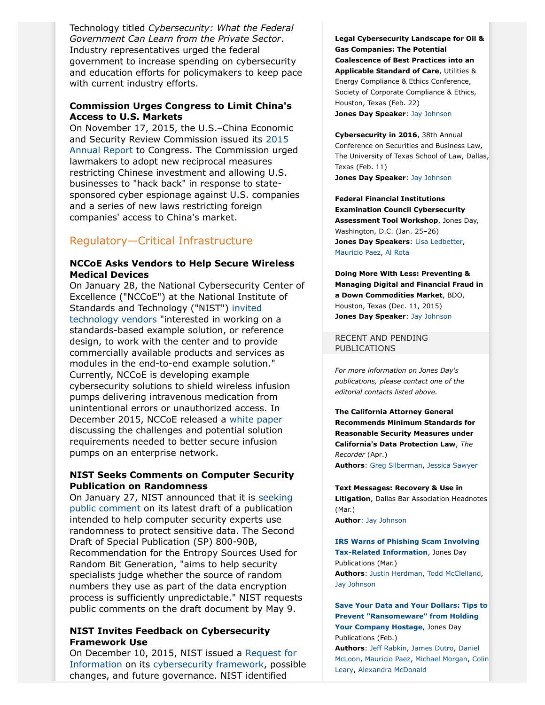Technology titled *Cybersecurity: What the Federal Government Can Learn from the Private Sector*. Industry representatives urged the federal government to increase spending on cybersecurity and education efforts for policymakers to keep pace with current industry efforts.

#### **Commission Urges Congress to Limit China's Access to U.S. Markets**

On November 17, 2015, the U.S.–China Economic and Security Review Commission issued its [2015](http://origin.www.uscc.gov/sites/default/files/annual_reports/2015%20Annual%20Report%20to%20Congress.PDF) [Annual Report](http://origin.www.uscc.gov/sites/default/files/annual_reports/2015%20Annual%20Report%20to%20Congress.PDF) to Congress. The Commission urged lawmakers to adopt new reciprocal measures restricting Chinese investment and allowing U.S. businesses to "hack back" in response to statesponsored cyber espionage against U.S. companies and a series of new laws restricting foreign companies' access to China's market.

# Regulatory—Critical Infrastructure

#### **NCCoE Asks Vendors to Help Secure Wireless Medical Devices**

On January 28, the National Cybersecurity Center of Excellence ("NCCoE") at the National Institute of Standards and Technology ("NIST") [invited](http://www.nist.gov/itl/acd/nccoe-seeks-vendors-to-help-secure-wireless-medical-devices.cfm) [technology vendors](http://www.nist.gov/itl/acd/nccoe-seeks-vendors-to-help-secure-wireless-medical-devices.cfm) "interested in working on a standards-based example solution, or reference design, to work with the center and to provide commercially available products and services as modules in the end-to-end example solution." Currently, NCCoE is developing example cybersecurity solutions to shield wireless infusion pumps delivering intravenous medication from unintentional errors or unauthorized access. In December 2015, NCCoE released a [white paper](https://nccoe.nist.gov/sites/default/files/nccoe/HIT_Medical_Device_Use_Case_Dec2015_0.pdf) discussing the challenges and potential solution requirements needed to better secure infusion pumps on an enterprise network.

#### **NIST Seeks Comments on Computer Security Publication on Randomness**

On January 27, NIST announced that it is [seeking](http://www.nist.gov/itl/csd/nist-requests-comments-on-computer-security-publication-on-randomness.cfm) [public comment](http://www.nist.gov/itl/csd/nist-requests-comments-on-computer-security-publication-on-randomness.cfm) on its latest draft of a publication intended to help computer security experts use randomness to protect sensitive data. The Second Draft of Special Publication (SP) 800-90B, Recommendation for the Entropy Sources Used for Random Bit Generation, "aims to help security specialists judge whether the source of random numbers they use as part of the data encryption process is sufficiently unpredictable." NIST requests public comments on the draft document by May 9.

#### **NIST Invites Feedback on Cybersecurity Framework Use**

On December 10, 2015, NIST issued a [Request for](http://www.nist.gov/itl/acd/20151210rfi.cfm) [Information](http://www.nist.gov/itl/acd/20151210rfi.cfm) on its [cybersecurity framework,](http://www.nist.gov/cyberframework/index.cfm) possible changes, and future governance. NIST identified

**Legal Cybersecurity Landscape for Oil & Gas Companies: The Potential Coalescence of Best Practices into an Applicable Standard of Care**, Utilities & Energy Compliance & Ethics Conference, Society of Corporate Compliance & Ethics, Houston, Texas (Feb. 22) **Jones Day Speaker**: [Jay Johnson](http://www.jonesday.com/jjohnson)

**Cybersecurity in 2016**, 38th Annual Conference on Securities and Business Law, The University of Texas School of Law, Dallas, Texas (Feb. 11) **Jones Day Speaker**: [Jay Johnson](http://www.jonesday.com/jjohnson)

**Federal Financial Institutions Examination Council Cybersecurity Assessment Tool Workshop**, Jones Day, Washington, D.C. (Jan. 25–26) **Jones Day Speakers**: [Lisa Ledbetter,](http://www.jonesday.com/lledbetter) [Mauricio Paez,](http://www.jonesday.com/mfpaez) [Al Rota](http://www.jonesday.com/ajrota)

**Doing More With Less: Preventing & Managing Digital and Financial Fraud in a Down Commodities Market**, BDO, Houston, Texas (Dec. 11, 2015) **Jones Day Speaker**: [Jay Johnson](http://www.jonesday.com/jjohnson)

RECENT AND PENDING PUBLICATIONS

*For more information on Jones Day's publications, please contact one of the editorial contacts listed above.*

**The California Attorney General Recommends Minimum Standards for Reasonable Security Measures under California's Data Protection Law**, *The Recorder* (Apr.) **Authors**: [Greg Silberman,](http://www.jonesday.com/gpsilberman) [Jessica Sawyer](http://www.jonesday.com/jsawyer)

**Text Messages: Recovery & Use in Litigation**, Dallas Bar Association Headnotes (Mar.) **Author**: [Jay Johnson](http://www.jonesday.com/jjohnson)

**[IRS Warns of Phishing Scam Involving](http://www.jonesday.com/irs-warns-of-phishing-scam-involving-tax-related-information-03-09-2016/) [Tax-Related Information](http://www.jonesday.com/irs-warns-of-phishing-scam-involving-tax-related-information-03-09-2016/)**, Jones Day Publications (Mar.) **Authors**: [Justin Herdman,](http://www.jonesday.com/jherdman) [Todd McClelland,](http://www.jonesday.com/tmcclelland) [Jay Johnson](http://www.jonesday.com/jjohnson)

**[Save Your Data and Your Dollars: Tips to](http://www.jonesday.com/save-your-data-and-your-dollars-tips-to-prevent-ransomware-from-holding-your-company-hostage-02-25-2016/) [Prevent "Ransomeware" from Holding](http://www.jonesday.com/save-your-data-and-your-dollars-tips-to-prevent-ransomware-from-holding-your-company-hostage-02-25-2016/) [Your Company Hostage](http://www.jonesday.com/save-your-data-and-your-dollars-tips-to-prevent-ransomware-from-holding-your-company-hostage-02-25-2016/)**, Jones Day Publications (Feb.)

**Authors**: [Jeff Rabkin](http://www.jonesday.com/jrabkin), [James Dutro,](http://www.jonesday.com/jdutro) [Daniel](http://www.jonesday.com/djmcloon) [McLoon,](http://www.jonesday.com/djmcloon) [Mauricio Paez](http://www.jonesday.com/mfpaez), [Michael Morgan](http://www.jonesday.com/mgmorgan), [Colin](http://www.jonesday.com/cleary) [Leary](http://www.jonesday.com/cleary), [Alexandra McDonald](http://www.jonesday.com/amcdonald)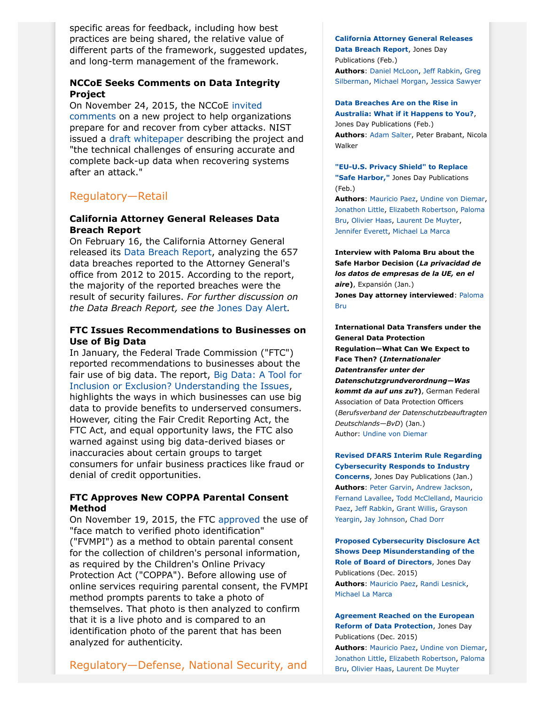specific areas for feedback, including how best practices are being shared, the relative value of different parts of the framework, suggested updates, and long-term management of the framework.

#### **NCCoE Seeks Comments on Data Integrity Project**

On November 24, 2015, the NCCoE [invited](http://www.nist.gov/itl/acd/ncce/20151124data.cfm) [comments](http://www.nist.gov/itl/acd/ncce/20151124data.cfm) on a new project to help organizations prepare for and recover from cyber attacks. NIST issued a [draft whitepaper](https://nccoe.nist.gov/sites/default/files/nccoe/NCCoE_Data_Integrity_Project_Description.pdf) describing the project and "the technical challenges of ensuring accurate and complete back-up data when recovering systems after an attack."

# Regulatory—Retail

#### **California Attorney General Releases Data Breach Report**

On February 16, the California Attorney General released its [Data Breach Report,](https://oag.ca.gov/breachreport2016) analyzing the 657 data breaches reported to the Attorney General's office from 2012 to 2015. According to the report, the majority of the reported breaches were the result of security failures. *For further discussion on the Data Breach Report, see the* [Jones Day Alert](http://www.jonesday.com/california-attorney-general-releases-data-breach-report-02-23-2016/)*.*

#### **FTC Issues Recommendations to Businesses on Use of Big Data**

In January, the Federal Trade Commission ("FTC") reported recommendations to businesses about the fair use of big data. The report, [Big Data: A Tool for](https://www.ftc.gov/system/files/documents/reports/big-data-tool-inclusion-or-exclusion-understanding-issues/160106big-data-rpt.pdf) [Inclusion or Exclusion? Understanding the Issues,](https://www.ftc.gov/system/files/documents/reports/big-data-tool-inclusion-or-exclusion-understanding-issues/160106big-data-rpt.pdf) highlights the ways in which businesses can use big data to provide benefits to underserved consumers. However, citing the Fair Credit Reporting Act, the FTC Act, and equal opportunity laws, the FTC also warned against using big data-derived biases or inaccuracies about certain groups to target consumers for unfair business practices like fraud or denial of credit opportunities.

#### **FTC Approves New COPPA Parental Consent Method**

On November 19, 2015, the FTC [approved](https://www.ftc.gov/news-events/press-releases/2015/11/ftc-grants-approval-new-coppa-verifiable-parental-consent-method) the use of "face match to verified photo identification" ("FVMPI") as a method to obtain parental consent for the collection of children's personal information, as required by the Children's Online Privacy Protection Act ("COPPA"). Before allowing use of online services requiring parental consent, the FVMPI method prompts parents to take a photo of themselves. That photo is then analyzed to confirm that it is a live photo and is compared to an identification photo of the parent that has been analyzed for authenticity.

# Regulatory—Defense, National Security, and

**[California Attorney General Releases](http://www.jonesday.com/california-attorney-general-releases-data-breach-report-02-23-2016/) [Data Breach Report](http://www.jonesday.com/california-attorney-general-releases-data-breach-report-02-23-2016/)**, Jones Day Publications (Feb.) **Authors**: [Daniel McLoon](http://www.jonesday.com/djmcloon), [Jeff Rabkin,](http://www.jonesday.com/jrabkin) [Greg](http://www.jonesday.com/gpsilberman) [Silberman,](http://www.jonesday.com/gpsilberman) [Michael Morgan,](http://www.jonesday.com/mgmorgan) [Jessica Sawyer](http:///C:/Users/jp325426/AppData/Local/Interwoven/NRPortbl/NAI/JP325426/Jessica%20Sawyer)

#### **[Data Breaches Are on the Rise in](http://www.jonesday.com/data-breaches-are-on-the-rise-in-australia-what-if-it-happens-to-you-02-18-2016/)**

**[Australia: What if it Happens to You?](http://www.jonesday.com/data-breaches-are-on-the-rise-in-australia-what-if-it-happens-to-you-02-18-2016/)**, Jones Day Publications (Feb.) **Authors**: [Adam Salter](http://www.jonesday.com/asalter), Peter Brabant, Nicola Walker

#### **["EU-U.S. Privacy Shield" to Replace](http://www.jonesday.com/eu-us-privacy-shield-to-replace-safe-harbor-02-04-2016/) ["Safe Harbor,"](http://www.jonesday.com/eu-us-privacy-shield-to-replace-safe-harbor-02-04-2016/)** Jones Day Publications

(Feb.) **Authors**: [Mauricio Paez](http://www.jonesday.com/mfpaez), [Undine von Diemar,](http://www.jonesday.com/uvondiemar) [Jonathon Little](http://www.jonesday.com/jrlittle), [Elizabeth Robertson](http://www.jonesday.com/erobertson), [Paloma](http://www.jonesday.com/pbru) [Bru,](http://www.jonesday.com/pbru) [Olivier Haas](http://www.jonesday.com/ohaas), [Laurent De Muyter](http://www.jonesday.com/ldemuyter),

[Jennifer Everett](http://www.jonesday.com/jeverett), [Michael La Marca](http://www.jonesday.com/mlamarca)

**Interview with Paloma Bru about the Safe Harbor Decision (***La privacidad de los datos de empresas de la UE, en el aire***)**, Expansión (Jan.) **Jones Day attorney interviewed**: [Paloma](http://www.jonesday.com/pbru) [Bru](http://www.jonesday.com/pbru)

**International Data Transfers under the General Data Protection Regulation—What Can We Expect to Face Then? (***Internationaler Datentransfer unter der Datenschutzgrundverordnung—Was kommt da auf uns zu***?)**, German Federal Association of Data Protection Officers (*Berufsverband der Datenschutzbeauftragten Deutschlands—BvD*) (Jan.) Author: [Undine von Diemar](http://www.jonesday.com/uvondiemar)

**[Revised DFARS Interim Rule Regarding](http://www.jonesday.com/revised-dfars-interim-rule-regarding-cybersecurity-responds-to-industry-concerns-01-20-2016/) [Cybersecurity Responds to Industry](http://www.jonesday.com/revised-dfars-interim-rule-regarding-cybersecurity-responds-to-industry-concerns-01-20-2016/) [Concerns](http://www.jonesday.com/revised-dfars-interim-rule-regarding-cybersecurity-responds-to-industry-concerns-01-20-2016/)**, Jones Day Publications (Jan.) **Authors**: [Peter Garvin,](http://www.jonesday.com/pgarvin) [Andrew Jackson](http://www.jonesday.com/ajackson), [Fernand Lavallee](http://www.jonesday.com/flavallee), [Todd McClelland,](http://www.jonesday.com/tmcclelland) [Mauricio](http://www.jonesday.com/mfpaez) [Paez,](http://www.jonesday.com/mfpaez) [Jeff Rabkin](http://www.jonesday.com/jrabkin), [Grant Willis](http://www.jonesday.com/ghwillis), [Grayson](http://www.jonesday.com/gyeargin) [Yeargin](http://www.jonesday.com/gyeargin), [Jay Johnson](http://www.jonesday.com/jjohnson), [Chad Dorr](http://www.jonesday.com/cdorr)

**[Proposed Cybersecurity Disclosure Act](http://www.jonesday.com/proposed-cybersecurity-disclosure-act-shows-deep-misunderstanding-of-the-role-of-the-board-of-directors-12-28-2015/) [Shows Deep Misunderstanding of the](http://www.jonesday.com/proposed-cybersecurity-disclosure-act-shows-deep-misunderstanding-of-the-role-of-the-board-of-directors-12-28-2015/) [Role of Board of Directors](http://www.jonesday.com/proposed-cybersecurity-disclosure-act-shows-deep-misunderstanding-of-the-role-of-the-board-of-directors-12-28-2015/)**, Jones Day Publications (Dec. 2015) **Authors**: [Mauricio Paez](http://www.jonesday.com/mfpaez), [Randi Lesnick,](http://www.jonesday.com/rclesnick) [Michael La Marca](http://www.jonesday.com/mlamarca)

**[Agreement Reached on the European](http://www.jonesday.com/agreement-reached-on-the-european-reform-of-data-protection-12-17-2015/) [Reform of Data Protection](http://www.jonesday.com/agreement-reached-on-the-european-reform-of-data-protection-12-17-2015/)**, Jones Day Publications (Dec. 2015) **Authors**: [Mauricio Paez](http://www.jonesday.com/mfpaez), [Undine von Diemar,](http://www.jonesday.com/uvondiemar) [Jonathon Little](http://www.jonesday.com/jrlittle), [Elizabeth Robertson](http://www.jonesday.com/erobertson), [Paloma](http://www.jonesday.com/pbru) [Bru,](http://www.jonesday.com/pbru) [Olivier Haas](http://www.jonesday.com/ohaas), [Laurent De Muyter](http://www.jonesday.com/ldemuyter)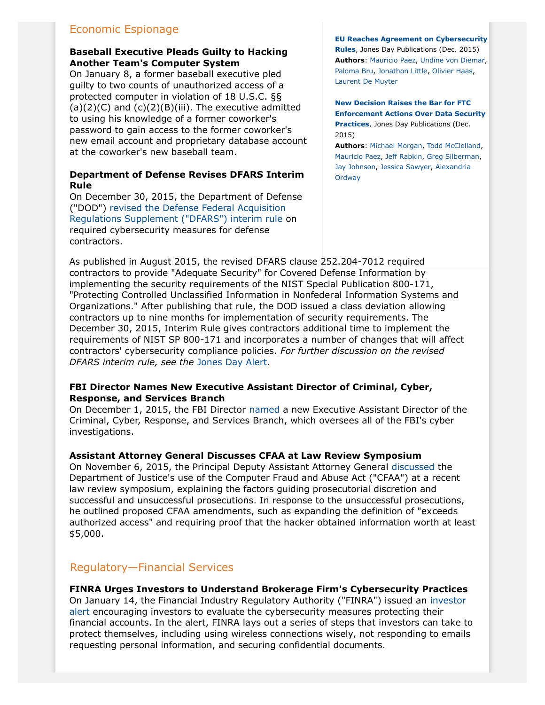# Economic Espionage

#### **Baseball Executive Pleads Guilty to Hacking Another Team's Computer System**

On January 8, a former baseball executive pled guilty to two counts of unauthorized access of a protected computer in violation of 18 U.S.C. §§  $(a)(2)(C)$  and  $(c)(2)(B)(iii)$ . The executive admitted to using his knowledge of a former coworker's password to gain access to the former coworker's new email account and proprietary database account at the coworker's new baseball team.

#### **Department of Defense Revises DFARS Interim Rule**

On December 30, 2015, the Department of Defense ("DOD") [revised the Defense Federal Acquisition](http:///C:/Users/jp325426/AppData/Local/Interwoven/NRPortbl/NAI/JP325426/the%20Department%20of%20Defense%20(%22DOD%22)) [Regulations Supplement \("DFARS"\) interim rule](http:///C:/Users/jp325426/AppData/Local/Interwoven/NRPortbl/NAI/JP325426/the%20Department%20of%20Defense%20(%22DOD%22)) on required cybersecurity measures for defense contractors.

**[EU Reaches Agreement on Cybersecurity](http://www.jonesday.com/EU-Reaches-Agreement-on-Cybersecurity-Rules-12-15-2015) [Rules](http://www.jonesday.com/EU-Reaches-Agreement-on-Cybersecurity-Rules-12-15-2015)**, Jones Day Publications (Dec. 2015) **Authors**: [Mauricio Paez](http://www.jonesday.com/mfpaez), [Undine von Diemar,](http://www.jonesday.com/uvondiemar) [Paloma Bru](http://www.jonesday.com/pbru), [Jonathon Little](http://www.jonesday.com/jrlittle), [Olivier Haas](http://www.jonesday.com/ohaas), [Laurent De Muyter](http://www.jonesday.com/ldemuyter)

**[New Decision Raises the Bar for FTC](http://www.jonesday.com/New-Decision-Raises-the-Bar-for-FTC-Enforcement-Actions-Over-Data-Security-Practices-11-18-2015) [Enforcement Actions Over Data Security](http://www.jonesday.com/New-Decision-Raises-the-Bar-for-FTC-Enforcement-Actions-Over-Data-Security-Practices-11-18-2015) [Practices](http://www.jonesday.com/New-Decision-Raises-the-Bar-for-FTC-Enforcement-Actions-Over-Data-Security-Practices-11-18-2015)**, Jones Day Publications (Dec. 2015)

**Authors**: [Michael Morgan](http://www.jonesday.com/mgmorgan), [Todd McClelland](http://www.jonesday.com/tmcclelland), [Mauricio Paez,](http://www.jonesday.com/mfpaez) [Jeff Rabkin](http://www.jonesday.com/jrabkin), [Greg Silberman,](http://www.jonesday.com/gpsilberman) [Jay Johnson](http://www.jonesday.com/jjohnson), [Jessica Sawyer](http://www.jonesday.com/jsawyer), [Alexandria](http://www.jonesday.com/aordway) **[Ordway](http://www.jonesday.com/aordway)** 

As published in August 2015, the revised DFARS clause 252.204-7012 required contractors to provide "Adequate Security" for Covered Defense Information by implementing the security requirements of the NIST Special Publication 800-171, "Protecting Controlled Unclassified Information in Nonfederal Information Systems and Organizations." After publishing that rule, the DOD issued a class deviation allowing contractors up to nine months for implementation of security requirements. The December 30, 2015, Interim Rule gives contractors additional time to implement the requirements of NIST SP 800-171 and incorporates a number of changes that will affect contractors' cybersecurity compliance policies. *For further discussion on the revised DFARS interim rule, see the* [Jones Day Alert](http://www.jonesday.com/revised-dfars-interim-rule-regarding-cybersecurity-responds-to-industry-concerns-01-20-2016/)*.*

#### **FBI Director Names New Executive Assistant Director of Criminal, Cyber, Response, and Services Branch**

On December 1, 2015, the FBI Director [named](https://www.fbi.gov/news/pressrel/press-releases/randall-c.-coleman-named-executive-assistant-director-of-the-criminal-cyber-response-and-services-branch) a new Executive Assistant Director of the Criminal, Cyber, Response, and Services Branch, which oversees all of the FBI's cyber investigations.

#### **Assistant Attorney General Discusses CFAA at Law Review Symposium**

On November 6, 2015, the Principal Deputy Assistant Attorney General [discussed](http://www.justice.gov/opa/speech/principal-deputy-assistant-attorney-general-david-bitkower-delivers-keynote-address) the Department of Justice's use of the Computer Fraud and Abuse Act ("CFAA") at a recent law review symposium, explaining the factors guiding prosecutorial discretion and successful and unsuccessful prosecutions. In response to the unsuccessful prosecutions, he outlined proposed CFAA amendments, such as expanding the definition of "exceeds authorized access" and requiring proof that the hacker obtained information worth at least \$5,000.

# Regulatory—Financial Services

# **FINRA Urges Investors to Understand Brokerage Firm's Cybersecurity Practices**

On January 14, the Financial Industry Regulatory Authority ("FINRA") issued an [investor](http://www.finra.org/investors/alerts/keeping-your-account-secure-tips-protecting-your-financial-information) [alert](http://www.finra.org/investors/alerts/keeping-your-account-secure-tips-protecting-your-financial-information) encouraging investors to evaluate the cybersecurity measures protecting their financial accounts. In the alert, FINRA lays out a series of steps that investors can take to protect themselves, including using wireless connections wisely, not responding to emails requesting personal information, and securing confidential documents.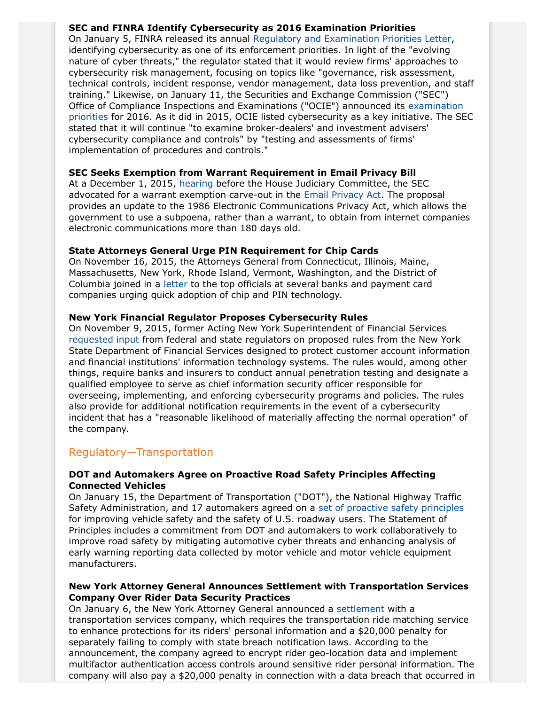#### **SEC and FINRA Identify Cybersecurity as 2016 Examination Priorities**

On January 5, FINRA released its annual [Regulatory and Examination Priorities Letter](http://www.finra.org/sites/default/files/2016-regulatory-and-examination-priorities-letter.pdf), identifying cybersecurity as one of its enforcement priorities. In light of the "evolving nature of cyber threats," the regulator stated that it would review firms' approaches to cybersecurity risk management, focusing on topics like "governance, risk assessment, technical controls, incident response, vendor management, data loss prevention, and staff training." Likewise, on January 11, the Securities and Exchange Commission ("SEC") Office of Compliance Inspections and Examinations ("OCIE") announced its [examination](https://www.sec.gov/about/offices/ocie/national-examination-program-priorities-2016.pdf) [priorities](https://www.sec.gov/about/offices/ocie/national-examination-program-priorities-2016.pdf) for 2016. As it did in 2015, OCIE listed cybersecurity as a key initiative. The SEC stated that it will continue "to examine broker-dealers' and investment advisers' cybersecurity compliance and controls" by "testing and assessments of firms' implementation of procedures and controls."

#### **SEC Seeks Exemption from Warrant Requirement in Email Privacy Bill**

At a December 1, 2015, [hearing](http://judiciary.house.gov/index.cfm/hearings?ID=5EF9186D-CCF3-4460-B72A-4025EC98C4BE) before the House Judiciary Committee, the SEC advocated for a warrant exemption carve-out in the [Email Privacy Act](https://www.congress.gov/114/bills/hr699/BILLS-114hr699ih.pdf). The proposal provides an update to the 1986 Electronic Communications Privacy Act, which allows the government to use a subpoena, rather than a warrant, to obtain from internet companies electronic communications more than 180 days old.

#### **State Attorneys General Urge PIN Requirement for Chip Cards**

On November 16, 2015, the Attorneys General from Connecticut, Illinois, Maine, Massachusetts, New York, Rhode Island, Vermont, Washington, and the District of Columbia joined in a [letter](http://www.ct.gov/ag/lib/ag/press_releases/2015/20151116_chipandpinmultistateletter.pdf) to the top officials at several banks and payment card companies urging quick adoption of chip and PIN technology.

#### **New York Financial Regulator Proposes Cybersecurity Rules**

On November 9, 2015, former Acting New York Superintendent of Financial Services [requested input](http://www.dfs.ny.gov/about/letters/pr151109_letter_cyber_security.pdf) from federal and state regulators on proposed rules from the New York State Department of Financial Services designed to protect customer account information and financial institutions' information technology systems. The rules would, among other things, require banks and insurers to conduct annual penetration testing and designate a qualified employee to serve as chief information security officer responsible for overseeing, implementing, and enforcing cybersecurity programs and policies. The rules also provide for additional notification requirements in the event of a cybersecurity incident that has a "reasonable likelihood of materially affecting the normal operation" of the company.

# Regulatory—Transportation

#### **DOT and Automakers Agree on Proactive Road Safety Principles Affecting Connected Vehicles**

On January 15, the Department of Transportation ("DOT"), the National Highway Traffic Safety Administration, and 17 automakers agreed on a [set of proactive safety principles](https://www.transportation.gov/fastlane/dot-automakers-agree-on-proactive-safety-principles) for improving vehicle safety and the safety of U.S. roadway users. The Statement of Principles includes a commitment from DOT and automakers to work collaboratively to improve road safety by mitigating automotive cyber threats and enhancing analysis of early warning reporting data collected by motor vehicle and motor vehicle equipment manufacturers.

#### **New York Attorney General Announces Settlement with Transportation Services Company Over Rider Data Security Practices**

On January 6, the New York Attorney General announced a [settlement](http://www.ag.ny.gov/press-release/ag-schneiderman-announces-settlement-uber-enhance-rider-privacy) with a transportation services company, which requires the transportation ride matching service to enhance protections for its riders' personal information and a \$20,000 penalty for separately failing to comply with state breach notification laws. According to the announcement, the company agreed to encrypt rider geo-location data and implement multifactor authentication access controls around sensitive rider personal information. The company will also pay a \$20,000 penalty in connection with a data breach that occurred in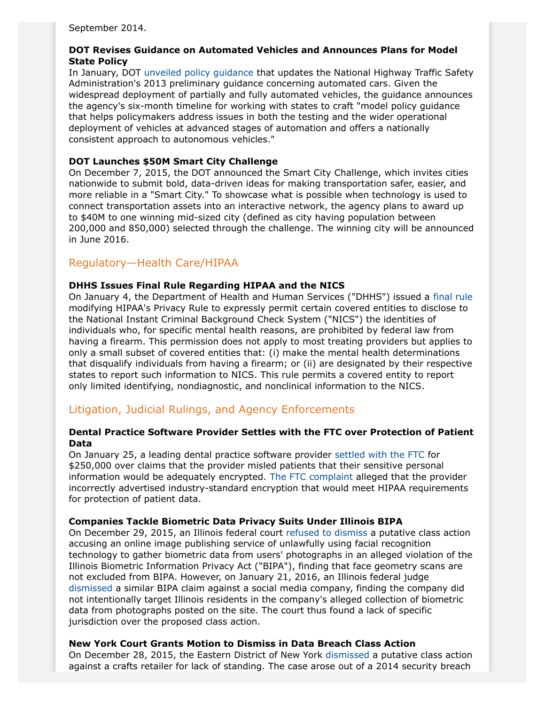September 2014.

#### **DOT Revises Guidance on Automated Vehicles and Announces Plans for Model State Policy**

In January, DOT [unveiled policy guidance](https://www.transportation.gov/briefing-room/secretary-foxx-unveils-president-obama%E2%80%99s-fy17-budget-proposal-nearly-4-billion) that updates the National Highway Traffic Safety Administration's 2013 preliminary guidance concerning automated cars. Given the widespread deployment of partially and fully automated vehicles, the guidance announces the agency's six-month timeline for working with states to craft "model policy guidance that helps policymakers address issues in both the testing and the wider operational deployment of vehicles at advanced stages of automation and offers a nationally consistent approach to autonomous vehicles."

#### **DOT Launches \$50M Smart City Challenge**

On December 7, 2015, the DOT announced the Smart City Challenge, which invites cities nationwide to submit bold, data-driven ideas for making transportation safer, easier, and more reliable in a "Smart City." To showcase what is possible when technology is used to connect transportation assets into an interactive network, the agency plans to award up to \$40M to one winning mid-sized city (defined as city having population between 200,000 and 850,000) selected through the challenge. The winning city will be announced in June 2016.

# Regulatory—Health Care/HIPAA

#### **DHHS Issues Final Rule Regarding HIPAA and the NICS**

On January 4, the Department of Health and Human Services ("DHHS") issued a [final rule](https://www.gpo.gov/fdsys/pkg/FR-2016-01-06/pdf/2015-33181.pdf) modifying HIPAA's Privacy Rule to expressly permit certain covered entities to disclose to the National Instant Criminal Background Check System ("NICS") the identities of individuals who, for specific mental health reasons, are prohibited by federal law from having a firearm. This permission does not apply to most treating providers but applies to only a small subset of covered entities that: (i) make the mental health determinations that disqualify individuals from having a firearm; or (ii) are designated by their respective states to report such information to NICS. This rule permits a covered entity to report only limited identifying, nondiagnostic, and nonclinical information to the NICS.

# Litigation, Judicial Rulings, and Agency Enforcements

#### **Dental Practice Software Provider Settles with the FTC over Protection of Patient Data**

On January 25, a leading dental practice software provider [settled with the FTC](https://www.ftc.gov/system/files/documents/cases/160105scheinagreeorder.pdf) for \$250,000 over claims that the provider misled patients that their sensitive personal information would be adequately encrypted. [The FTC complaint](https://www.ftc.gov/system/files/documents/cases/160105scheincmpt.pdf) alleged that the provider incorrectly advertised industry-standard encryption that would meet HIPAA requirements for protection of patient data.

#### **Companies Tackle Biometric Data Privacy Suits Under Illinois BIPA**

On December 29, 2015, an Illinois federal court [refused to dismiss](http://assets.law360news.com/0742000/742169/15421644-0--5924.pdf) a putative class action accusing an online image publishing service of unlawfully using facial recognition technology to gather biometric data from users' photographs in an alleged violation of the Illinois Biometric Information Privacy Act ("BIPA"), finding that face geometry scans are not excluded from BIPA. However, on January 21, 2016, an Illinois federal judge [dismissed](http://assets.law360news.com/0749000/749225/https-ecf-ilnd-uscourts-gov-doc1-067116915180.pdf) a similar BIPA claim against a social media company, finding the company did not intentionally target Illinois residents in the company's alleged collection of biometric data from photographs posted on the site. The court thus found a lack of specific jurisdiction over the proposed class action.

#### **New York Court Grants Motion to Dismiss in Data Breach Class Action**

On December 28, 2015, the Eastern District of New York [dismissed](http://www.butlersnow.com/wp-content/uploads/2016/01/Michael-Stores_Whalen-E.D.N.Y.-12_28_15-dismissing-case_29315961_1.pdf) a putative class action against a crafts retailer for lack of standing. The case arose out of a 2014 security breach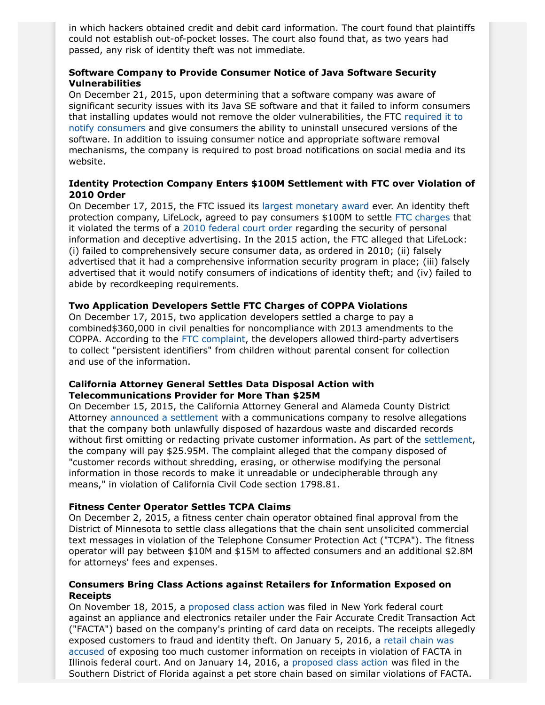in which hackers obtained credit and debit card information. The court found that plaintiffs could not establish out-of-pocket losses. The court also found that, as two years had passed, any risk of identity theft was not immediate.

#### **Software Company to Provide Consumer Notice of Java Software Security Vulnerabilities**

On December 21, 2015, upon determining that a software company was aware of significant security issues with its Java SE software and that it failed to inform consumers that installing updates would not remove the older vulnerabilities, the FTC [required it to](https://www.ftc.gov/news-events/press-releases/2015/12/oracle-agrees-settle-ftc-charges-it-deceived-consumers-about-java) [notify consumers](https://www.ftc.gov/news-events/press-releases/2015/12/oracle-agrees-settle-ftc-charges-it-deceived-consumers-about-java) and give consumers the ability to uninstall unsecured versions of the software. In addition to issuing consumer notice and appropriate software removal mechanisms, the company is required to post broad notifications on social media and its website.

#### **Identity Protection Company Enters \$100M Settlement with FTC over Violation of 2010 Order**

On December 17, 2015, the FTC issued its [largest monetary award](https://www.ftc.gov/system/files/documents/cases/151217lifelockstip.pdf) ever. An identity theft protection company, LifeLock, agreed to pay consumers \$100M to settle [FTC charges](https://www.ftc.gov/system/files/documents/cases/150721lifelocknotice.pdf) that it violated the terms of a [2010 federal court order](https://www.ftc.gov/news-events/press-releases/2010/03/lifelock-will-pay-12-million-settle-charges-ftc-35-states) regarding the security of personal information and deceptive advertising. In the 2015 action, the FTC alleged that LifeLock: (i) failed to comprehensively secure consumer data, as ordered in 2010; (ii) falsely advertised that it had a comprehensive information security program in place; (iii) falsely advertised that it would notify consumers of indications of identity theft; and (iv) failed to abide by recordkeeping requirements.

#### **Two Application Developers Settle FTC Charges of COPPA Violations**

On December 17, 2015, two application developers settled a charge to pay a combined\$360,000 in civil penalties for noncompliance with 2013 amendments to the COPPA. According to the [FTC complaint](https://www.ftc.gov/news-events/press-releases/2015/12/two-app-developers-settle-ftc-charges-they-violated-childrens), the developers allowed third-party advertisers to collect "persistent identifiers" from children without parental consent for collection and use of the information.

#### **California Attorney General Settles Data Disposal Action with Telecommunications Provider for More Than \$25M**

On December 15, 2015, the California Attorney General and Alameda County District Attorney [announced a settlement](https://oag.ca.gov/news/press-releases/attorney-general-kamala-d-harris-announces-2595-million-settlement-comcast-over) with a communications company to resolve allegations that the company both unlawfully disposed of hazardous waste and discarded records without first omitting or redacting private customer information. As part of the [settlement,](https://www.huntonprivacyblog.com/files/2015/12/comcast-proposed-settlement.pdf) the company will pay \$25.95M. The complaint alleged that the company disposed of "customer records without shredding, erasing, or otherwise modifying the personal information in those records to make it unreadable or undecipherable through any means," in violation of California Civil Code section 1798.81.

#### **Fitness Center Operator Settles TCPA Claims**

On December 2, 2015, a fitness center chain operator obtained final approval from the District of Minnesota to settle class allegations that the chain sent unsolicited commercial text messages in violation of the Telephone Consumer Protection Act ("TCPA"). The fitness operator will pay between \$10M and \$15M to affected consumers and an additional \$2.8M for attorneys' fees and expenses.

#### **Consumers Bring Class Actions against Retailers for Information Exposed on Receipts**

On November 18, 2015, a [proposed class action](http://assets.law360news.com/0728000/728857/https-ecf-nysd-uscourts-gov-cgi-bin-show_doc-pl-add_padlock-0-caseid-450133-de_seq_num-4-dm_id-15632028-doc_num-1-pdf_header-2.pdf) was filed in New York federal court against an appliance and electronics retailer under the Fair Accurate Credit Transaction Act ("FACTA") based on the company's printing of card data on receipts. The receipts allegedly exposed customers to fraud and identity theft. On January 5, 2016, a [retail chain was](http://assets.law360news.com/0743000/743198/https-ecf-ilnd-uscourts-gov-doc1-067116837859.pdf) [accused](http://assets.law360news.com/0743000/743198/https-ecf-ilnd-uscourts-gov-doc1-067116837859.pdf) of exposing too much customer information on receipts in violation of FACTA in Illinois federal court. And on January 14, 2016, a [proposed class action](http://assets.law360news.com/0747000/747178/https-ecf-flsd-uscourts-gov-doc1-051115994547.pdf) was filed in the Southern District of Florida against a pet store chain based on similar violations of FACTA.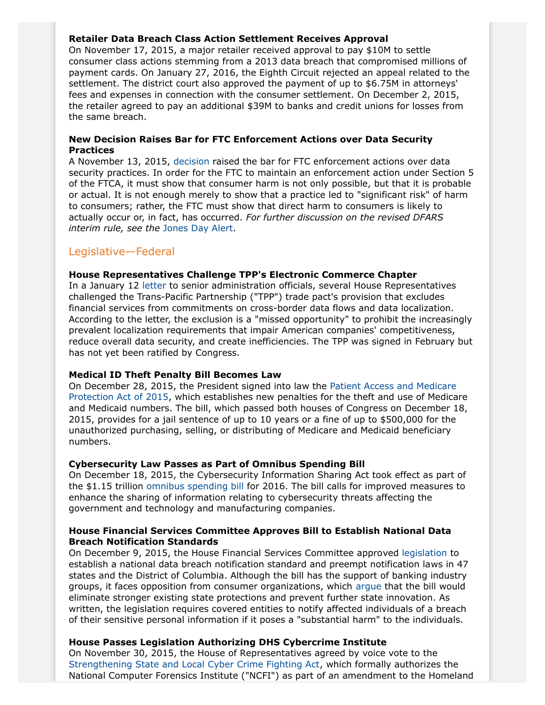#### **Retailer Data Breach Class Action Settlement Receives Approval**

On November 17, 2015, a major retailer received approval to pay \$10M to settle consumer class actions stemming from a 2013 data breach that compromised millions of payment cards. On January 27, 2016, the Eighth Circuit rejected an appeal related to the settlement. The district court also approved the payment of up to \$6.75M in attorneys' fees and expenses in connection with the consumer settlement. On December 2, 2015, the retailer agreed to pay an additional \$39M to banks and credit unions for losses from the same breach.

#### **New Decision Raises Bar for FTC Enforcement Actions over Data Security Practices**

A November 13, 2015, [decision](https://www.ftc.gov/system/files/documents/cases/151113labmd_decision.pdf) raised the bar for FTC enforcement actions over data security practices. In order for the FTC to maintain an enforcement action under Section 5 of the FTCA, it must show that consumer harm is not only possible, but that it is probable or actual. It is not enough merely to show that a practice led to "significant risk" of harm to consumers; rather, the FTC must show that direct harm to consumers is likely to actually occur or, in fact, has occurred. *For further discussion on the revised DFARS interim rule, see the* [Jones Day Alert.](http://www.jonesday.com/new-decision-raises-the-bar-for-ftc-enforcement-actions-over-data-security-practices-11-18-2015/)

# Legislative—Federal

### **House Representatives Challenge TPP's Electronic Commerce Chapter**

In a January 12 [letter](http://kelly.house.gov/sites/kelly.house.gov/files/documents/Kelly%20Paulsen%20Moulton%20Kuster%20Data%20Localization%20Letter%20to%20USTR%20Treasury%20NEC%20SIGNED%201-11-2016.pdf) to senior administration officials, several House Representatives challenged the Trans-Pacific Partnership ("TPP") trade pact's provision that excludes financial services from commitments on cross-border data flows and data localization. According to the letter, the exclusion is a "missed opportunity" to prohibit the increasingly prevalent localization requirements that impair American companies' competitiveness, reduce overall data security, and create inefficiencies. The TPP was signed in February but has not yet been ratified by Congress.

#### **Medical ID Theft Penalty Bill Becomes Law**

On December 28, 2015, the President signed into law the [Patient Access and Medicare](https://www.congress.gov/114/bills/s2425/BILLS-114s2425enr.pdf) [Protection Act of 2015](https://www.congress.gov/114/bills/s2425/BILLS-114s2425enr.pdf), which establishes new penalties for the theft and use of Medicare and Medicaid numbers. The bill, which passed both houses of Congress on December 18, 2015, provides for a jail sentence of up to 10 years or a fine of up to \$500,000 for the unauthorized purchasing, selling, or distributing of Medicare and Medicaid beneficiary numbers.

#### <span id="page-8-0"></span>**Cybersecurity Law Passes as Part of Omnibus Spending Bill**

On December 18, 2015, the Cybersecurity Information Sharing Act took effect as part of the \$1.15 trillion [omnibus spending bill](http://assets.law360news.com/0739000/739230/293404669-read-omnibus-spending-bill-text.pdf) for 2016. The bill calls for improved measures to enhance the sharing of information relating to cybersecurity threats affecting the government and technology and manufacturing companies.

#### **House Financial Services Committee Approves Bill to Establish National Data Breach Notification Standards**

On December 9, 2015, the House Financial Services Committee approved [legislation](https://www.congress.gov/114/bills/hr2205/BILLS-114hr2205ih.pdf) to establish a national data breach notification standard and preempt notification laws in 47 states and the District of Columbia. Although the bill has the support of banking industry groups, it faces opposition from consumer organizations, which [argue](http://consumerfed.org/wp-content/uploads/2015/12/12-7-15-Opposition-to-HR-2205_Letter.pdf) that the bill would eliminate stronger existing state protections and prevent further state innovation. As written, the legislation requires covered entities to notify affected individuals of a breach of their sensitive personal information if it poses a "substantial harm" to the individuals.

#### **House Passes Legislation Authorizing DHS Cybercrime Institute**

On November 30, 2015, the House of Representatives agreed by voice vote to the [Strengthening State and Local Cyber Crime Fighting Act](https://www.congress.gov/114/bills/hr3490/BILLS-114hr3490ih.pdf), which formally authorizes the National Computer Forensics Institute ("NCFI") as part of an amendment to the Homeland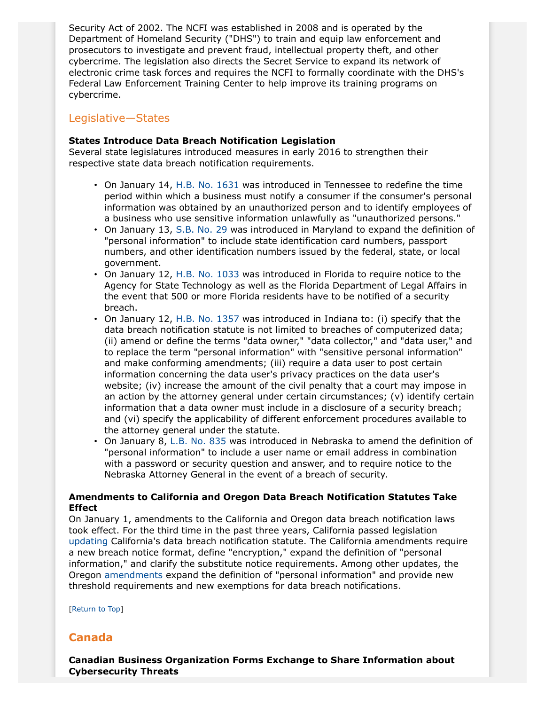Security Act of 2002. The NCFI was established in 2008 and is operated by the Department of Homeland Security ("DHS") to train and equip law enforcement and prosecutors to investigate and prevent fraud, intellectual property theft, and other cybercrime. The legislation also directs the Secret Service to expand its network of electronic crime task forces and requires the NCFI to formally coordinate with the DHS's Federal Law Enforcement Training Center to help improve its training programs on cybercrime.

# Legislative—States

#### **States Introduce Data Breach Notification Legislation**

Several state legislatures introduced measures in early 2016 to strengthen their respective state data breach notification requirements.

- On January 14, [H.B. No. 1631](http://www.capitol.tn.gov/Bills/109/Bill/HB1631.pdf) was introduced in Tennessee to redefine the time period within which a business must notify a consumer if the consumer's personal information was obtained by an unauthorized person and to identify employees of a business who use sensitive information unlawfully as "unauthorized persons."
- On January 13, [S.B. No. 29](http://mgaleg.maryland.gov/2016RS/bills/sb/sb0029f.pdf) was introduced in Maryland to expand the definition of "personal information" to include state identification card numbers, passport numbers, and other identification numbers issued by the federal, state, or local government.
- On January 12, [H.B. No. 1033](http://www.myfloridahouse.gov/Sections/Documents/loaddoc.aspx?FileName=_h1033__.docx&DocumentType=Bill&BillNumber=1033&Session=2016) was introduced in Florida to require notice to the Agency for State Technology as well as the Florida Department of Legal Affairs in the event that 500 or more Florida residents have to be notified of a security breach.
- On January 12, [H.B. No. 1357](https://iga.in.gov/legislative/2016/bills/house/1357) was introduced in Indiana to: (i) specify that the data breach notification statute is not limited to breaches of computerized data; (ii) amend or define the terms "data owner," "data collector," and "data user," and to replace the term "personal information" with "sensitive personal information" and make conforming amendments; (iii) require a data user to post certain information concerning the data user's privacy practices on the data user's website; (iv) increase the amount of the civil penalty that a court may impose in an action by the attorney general under certain circumstances;  $(v)$  identify certain information that a data owner must include in a disclosure of a security breach; and (vi) specify the applicability of different enforcement procedures available to the attorney general under the statute.
- On January 8, [L.B. No. 835](http://www.nebraskalegislature.gov/FloorDocs/Current/PDF/Intro/LB835.pdf) was introduced in Nebraska to amend the definition of "personal information" to include a user name or email address in combination with a password or security question and answer, and to require notice to the Nebraska Attorney General in the event of a breach of security.

#### **Amendments to California and Oregon Data Breach Notification Statutes Take Effect**

On January 1, amendments to the California and Oregon data breach notification laws took effect. For the third time in the past three years, California passed legislation [updating](http://www.leginfo.ca.gov/cgi-bin/displaycode?section=civ&group=01001-02000&file=1798.80-1798.84) California's data breach notification statute. The California amendments require a new breach notice format, define "encryption," expand the definition of "personal information," and clarify the substitute notice requirements. Among other updates, the Oregon [amendments](https://olis.leg.state.or.us/liz/2015R1/Downloads/MeasureDocument/SB601) expand the definition of "personal information" and provide new threshold requirements and new exemptions for data breach notifications.

[Return to Top]

# <span id="page-9-0"></span>**Canada**

**Canadian Business Organization Forms Exchange to Share Information about Cybersecurity Threats**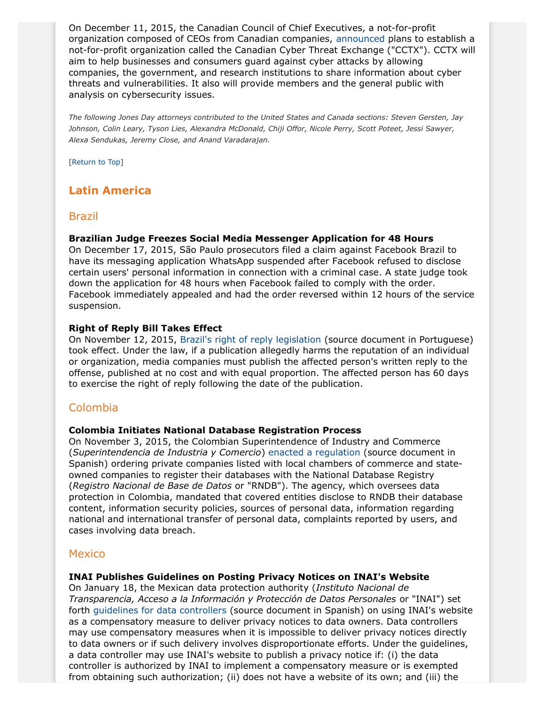On December 11, 2015, the Canadian Council of Chief Executives, a not-for-profit organization composed of CEOs from Canadian companies, [announced](http://www.ceocouncil.ca/news-item/business-community-unites-fight-cyber-threats) plans to establish a not-for-profit organization called the Canadian Cyber Threat Exchange ("CCTX"). CCTX will aim to help businesses and consumers guard against cyber attacks by allowing companies, the government, and research institutions to share information about cyber threats and vulnerabilities. It also will provide members and the general public with analysis on cybersecurity issues.

*The following Jones Day attorneys contributed to the United States and Canada sections: Steven Gersten, Jay Johnson, Colin Leary, Tyson Lies, Alexandra McDonald, Chiji Offor, Nicole Perry, Scott Poteet, Jessi Sawyer, Alexa Sendukas, Jeremy Close, and Anand Varadarajan.*

[Return to Top]

# <span id="page-10-0"></span>**Latin America**

#### Brazil

#### **Brazilian Judge Freezes Social Media Messenger Application for 48 Hours**

On December 17, 2015, São Paulo prosecutors filed a claim against Facebook Brazil to have its messaging application WhatsApp suspended after Facebook refused to disclose certain users' personal information in connection with a criminal case. A state judge took down the application for 48 hours when Facebook failed to comply with the order. Facebook immediately appealed and had the order reversed within 12 hours of the service suspension.

#### <span id="page-10-1"></span>**Right of Reply Bill Takes Effect**

On November 12, 2015, [Brazil's right of reply legislation](http://www.planalto.gov.br/ccivil_03/_Ato2015-2018/2015/Lei/L13188.htm) (source document in Portuguese) took effect. Under the law, if a publication allegedly harms the reputation of an individual or organization, media companies must publish the affected person's written reply to the offense, published at no cost and with equal proportion. The affected person has 60 days to exercise the right of reply following the date of the publication.

# Colombia

#### **Colombia Initiates National Database Registration Process**

On November 3, 2015, the Colombian Superintendence of Industry and Commerce (*Superintendencia de Industria y Comercio*) [enacted a regulation](http://www.sic.gov.co/drupal/recursos_user/documentos/normatividad/circular/2015/Circular_02.pdf) (source document in Spanish) ordering private companies listed with local chambers of commerce and stateowned companies to register their databases with the National Database Registry (*Registro Nacional de Base de Datos* or "RNDB"). The agency, which oversees data protection in Colombia, mandated that covered entities disclose to RNDB their database content, information security policies, sources of personal data, information regarding national and international transfer of personal data, complaints reported by users, and cases involving data breach.

# Mexico

#### **INAI Publishes Guidelines on Posting Privacy Notices on INAI's Website**

On January 18, the Mexican data protection authority (*Instituto Nacional de Transparencia, Acceso a la Información y Protección de Datos Personales* or "INAI") set forth [guidelines for data controllers](http://www.dof.gob.mx/nota_detalle.php?codigo=5422931&fecha=18/01/2016) (source document in Spanish) on using INAI's website as a compensatory measure to deliver privacy notices to data owners. Data controllers may use compensatory measures when it is impossible to deliver privacy notices directly to data owners or if such delivery involves disproportionate efforts. Under the guidelines, a data controller may use INAI's website to publish a privacy notice if: (i) the data controller is authorized by INAI to implement a compensatory measure or is exempted from obtaining such authorization; (ii) does not have a website of its own; and (iii) the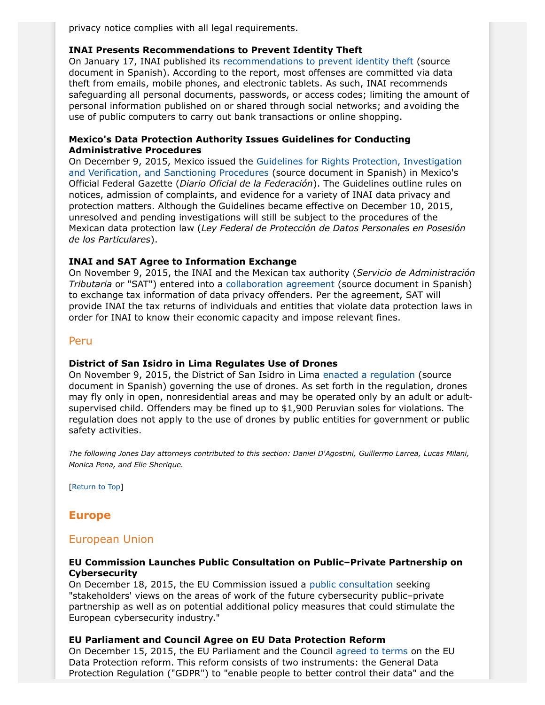privacy notice complies with all legal requirements.

#### **INAI Presents Recommendations to Prevent Identity Theft**

On January 17, INAI published its [recommendations to prevent identity theft](http://inicio.ifai.org.mx/Comunicados/Comunicado%20INAI-011-16.pdf) (source document in Spanish). According to the report, most offenses are committed via data theft from emails, mobile phones, and electronic tablets. As such, INAI recommends safeguarding all personal documents, passwords, or access codes; limiting the amount of personal information published on or shared through social networks; and avoiding the use of public computers to carry out bank transactions or online shopping.

#### **Mexico's Data Protection Authority Issues Guidelines for Conducting Administrative Procedures**

On December 9, 2015, Mexico issued the [Guidelines for Rights Protection, Investigation](http://www.dof.gob.mx/nota_detalle.php?codigo=5419449&fecha=09/12/2015) [and Verification, and Sanctioning Procedures](http://www.dof.gob.mx/nota_detalle.php?codigo=5419449&fecha=09/12/2015) (source document in Spanish) in Mexico's Official Federal Gazette (*Diario Oficial de la Federación*). The Guidelines outline rules on notices, admission of complaints, and evidence for a variety of INAI data privacy and protection matters. Although the Guidelines became effective on December 10, 2015, unresolved and pending investigations will still be subject to the procedures of the Mexican data protection law (*Ley Federal de Protección de Datos Personales en Posesión de los Particulares*).

#### **INAI and SAT Agree to Information Exchange**

On November 9, 2015, the INAI and the Mexican tax authority (*Servicio de Administración Tributaria* or "SAT") entered into a [collaboration agreement](http://inicio.inai.org.mx/Comunicados/Comunicado%20INAI-184-15.pdf) (source document in Spanish) to exchange tax information of data privacy offenders. Per the agreement, SAT will provide INAI the tax returns of individuals and entities that violate data protection laws in order for INAI to know their economic capacity and impose relevant fines.

#### Peru

#### **District of San Isidro in Lima Regulates Use of Drones**

On November 9, 2015, the District of San Isidro in Lima [enacted a regulation](http://larepublica.pe/sociedad/717024-uso-incorrecto-de-drones-sera-sancionado-con-s-1925-en-san-isidro) (source document in Spanish) governing the use of drones. As set forth in the regulation, drones may fly only in open, nonresidential areas and may be operated only by an adult or adultsupervised child. Offenders may be fined up to \$1,900 Peruvian soles for violations. The regulation does not apply to the use of drones by public entities for government or public safety activities.

*The following Jones Day attorneys contributed to this section: Daniel D'Agostini, Guillermo Larrea, Lucas Milani, Monica Pena, and Elie Sherique.*

[Return to Top]

# <span id="page-11-0"></span>**Europe**

# European Union

#### **EU Commission Launches Public Consultation on Public–Private Partnership on Cybersecurity**

On December 18, 2015, the EU Commission issued a [public consultation](https://ec.europa.eu/digital-agenda/en/news/public-consultation-public-private-partnership-cybersecurity-and-possible-accompanying-measures) seeking "stakeholders' views on the areas of work of the future cybersecurity public–private partnership as well as on potential additional policy measures that could stimulate the European cybersecurity industry."

#### **EU Parliament and Council Agree on EU Data Protection Reform**

On December 15, 2015, the EU Parliament and the Council [agreed to terms](http://europa.eu/rapid/press-release_IP-15-6321_en.htm) on the EU Data Protection reform. This reform consists of two instruments: the General Data Protection Regulation ("GDPR") to "enable people to better control their data" and the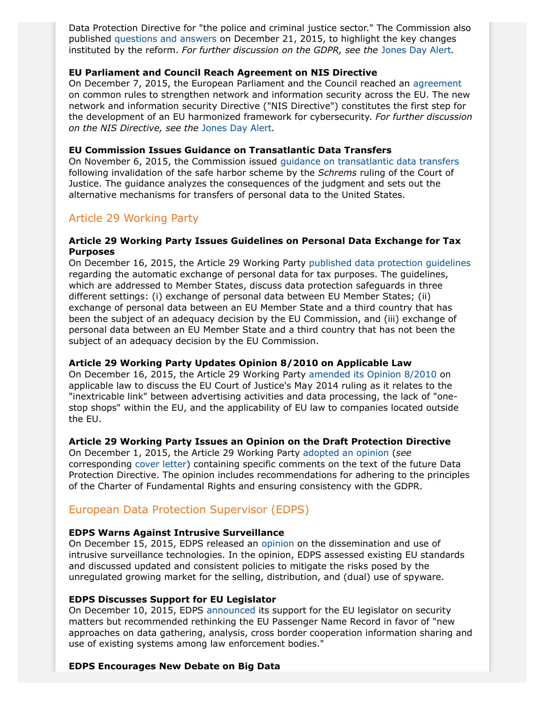Data Protection Directive for "the police and criminal justice sector." The Commission also published [questions and answers](http://europa.eu/rapid/press-release_MEMO-15-6385_en.htm) on December 21, 2015, to highlight the key changes instituted by the reform. *For further discussion on the GDPR, see the* [Jones Day Alert](http://www.jonesday.com/agreement-reached-on-the-european-reform-of-data-protection-12-17-2015/)*.*

#### **EU Parliament and Council Reach Agreement on NIS Directive**

On December 7, 2015, the European Parliament and the Council reached an [agreement](http://europa.eu/rapid/press-release_IP-15-6270_en.htm) on common rules to strengthen network and information security across the EU. The new network and information security Directive ("NIS Directive") constitutes the first step for the development of an EU harmonized framework for cybersecurity. *For further discussion on the NIS Directive, see the* [Jones Day Alert](http://www.jonesday.com/eu-reaches-agreement-on-cybersecurity-rules-12-15-2015/)*.*

#### **EU Commission Issues Guidance on Transatlantic Data Transfers**

On November 6, 2015, the Commission issued [guidance on transatlantic data transfers](http://ec.europa.eu/justice/data-protection/international-transfers/adequacy/files/eu-us_data_flows_communication_final.pdf) following invalidation of the safe harbor scheme by the *Schrems* ruling of the Court of Justice. The guidance analyzes the consequences of the judgment and sets out the alternative mechanisms for transfers of personal data to the United States.

# Article 29 Working Party

#### **Article 29 Working Party Issues Guidelines on Personal Data Exchange for Tax Purposes**

On December 16, 2015, the Article 29 Working Party [published data protection guidelines](http://ec.europa.eu/justice/data-protection/article-29/documentation/opinion-recommendation/files/2015/wp234_en.pdf) regarding the automatic exchange of personal data for tax purposes. The guidelines, which are addressed to Member States, discuss data protection safeguards in three different settings: (i) exchange of personal data between EU Member States; (ii) exchange of personal data between an EU Member State and a third country that has been the subject of an adequacy decision by the EU Commission, and (iii) exchange of personal data between an EU Member State and a third country that has not been the subject of an adequacy decision by the EU Commission.

#### **Article 29 Working Party Updates Opinion 8/2010 on Applicable Law**

On December 16, 2015, the Article 29 Working Party [amended its Opinion 8/2010](http://ec.europa.eu/justice/data-protection/article-29/documentation/opinion-recommendation/files/2015/wp179_en_update.pdf) on applicable law to discuss the EU Court of Justice's May 2014 ruling as it relates to the "inextricable link" between advertising activities and data processing, the lack of "onestop shops" within the EU, and the applicability of EU law to companies located outside the EU.

#### **Article 29 Working Party Issues an Opinion on the Draft Protection Directive**

On December 1, 2015, the Article 29 Working Party [adopted an opinion](http://ec.europa.eu/justice/data-protection/article-29/documentation/opinion-recommendation/files/2015/wp233_en.pdf) (*see* corresponding [cover letter](http://ec.europa.eu/justice/data-protection/article-29/documentation/other-document/files/2015/20151202_dp_directive_cover_letter_eppresident.pdf)) containing specific comments on the text of the future Data Protection Directive. The opinion includes recommendations for adhering to the principles of the Charter of Fundamental Rights and ensuring consistency with the GDPR.

# European Data Protection Supervisor (EDPS)

#### **EDPS Warns Against Intrusive Surveillance**

On December 15, 2015, EDPS released an [opinion](https://secure.edps.europa.eu/EDPSWEB/webdav/site/mySite/shared/Documents/Consultation/Opinions/2015/15-12-15_Intrusive_surveillance_EN.pdf) on the dissemination and use of intrusive surveillance technologies. In the opinion, EDPS assessed existing EU standards and discussed updated and consistent policies to mitigate the risks posed by the unregulated growing market for the selling, distribution, and (dual) use of spyware.

#### **EDPS Discusses Support for EU Legislator**

On December 10, 2015, EDPS [announced](https://secure.edps.europa.eu/EDPSWEB/webdav/site/mySite/shared/Documents/EDPS/PressNews/Press/2015/EDPS-2015-12-EU_PNR_EN.pdf) its support for the EU legislator on security matters but recommended rethinking the EU Passenger Name Record in favor of "new approaches on data gathering, analysis, cross border cooperation information sharing and use of existing systems among law enforcement bodies."

#### **EDPS Encourages New Debate on Big Data**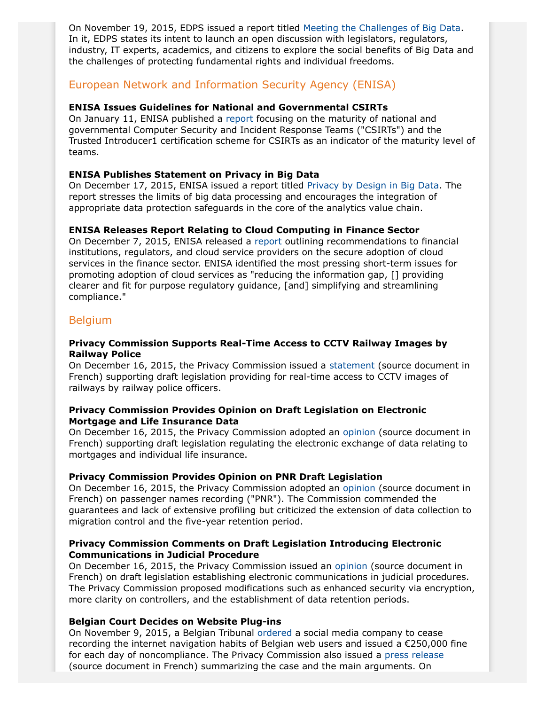On November 19, 2015, EDPS issued a report titled [Meeting the Challenges of Big Data.](https://secure.edps.europa.eu/EDPSWEB/webdav/site/mySite/shared/Documents/Consultation/Opinions/2015/15-11-19_Big_Data_EN.pdf) In it, EDPS states its intent to launch an open discussion with legislators, regulators, industry, IT experts, academics, and citizens to explore the social benefits of Big Data and the challenges of protecting fundamental rights and individual freedoms.

# European Network and Information Security Agency (ENISA)

#### **ENISA Issues Guidelines for National and Governmental CSIRTs**

On January 11, ENISA published a [report](https://www.enisa.europa.eu/activities/cert/support/baseline-capabilities/csirt-capabilities) focusing on the maturity of national and governmental Computer Security and Incident Response Teams ("CSIRTs") and the Trusted Introducer1 certification scheme for CSIRTs as an indicator of the maturity level of teams.

#### **ENISA Publishes Statement on Privacy in Big Data**

On December 17, 2015, ENISA issued a report titled [Privacy by Design in Big Data](https://www.enisa.europa.eu/activities/identity-and-trust/library/deliverables/big-data-protection). The report stresses the limits of big data processing and encourages the integration of appropriate data protection safeguards in the core of the analytics value chain.

# **ENISA Releases Report Relating to Cloud Computing in Finance Sector**

On December 7, 2015, ENISA released a [report](https://www.enisa.europa.eu/activities/Resilience-and-CIIP/cloud-computing/cloud-in-finance) outlining recommendations to financial institutions, regulators, and cloud service providers on the secure adoption of cloud services in the finance sector. ENISA identified the most pressing short-term issues for promoting adoption of cloud services as "reducing the information gap, [] providing clearer and fit for purpose regulatory guidance, [and] simplifying and streamlining compliance."

# Belgium

#### **Privacy Commission Supports Real-Time Access to CCTV Railway Images by Railway Police**

On December 16, 2015, the Privacy Commission issued a [statement](https://www.privacycommission.be/sites/privacycommission/files/documents/avis_53_2015.pdf) (source document in French) supporting draft legislation providing for real-time access to CCTV images of railways by railway police officers.

#### **Privacy Commission Provides Opinion on Draft Legislation on Electronic Mortgage and Life Insurance Data**

On December 16, 2015, the Privacy Commission adopted an [opinion](https://www.privacycommission.be/sites/privacycommission/files/documents/avis_52_2015.pdf) (source document in French) supporting draft legislation regulating the electronic exchange of data relating to mortgages and individual life insurance.

# **Privacy Commission Provides Opinion on PNR Draft Legislation**

On December 16, 2015, the Privacy Commission adopted an [opinion](https://www.privacycommission.be/sites/privacycommission/files/documents/avis_55_2015.pdf) (source document in French) on passenger names recording ("PNR"). The Commission commended the guarantees and lack of extensive profiling but criticized the extension of data collection to migration control and the five-year retention period.

#### **Privacy Commission Comments on Draft Legislation Introducing Electronic Communications in Judicial Procedure**

On December 16, 2015, the Privacy Commission issued an [opinion](https://www.privacycommission.be/sites/privacycommission/files/documents/avis_58_2015.pdf) (source document in French) on draft legislation establishing electronic communications in judicial procedures. The Privacy Commission proposed modifications such as enhanced security via encryption, more clarity on controllers, and the establishment of data retention periods.

#### **Belgian Court Decides on Website Plug-ins**

On November 9, 2015, a Belgian Tribunal [ordered](https://www.privacycommission.be/sites/privacycommission/files/documents/Judgement%20Belgian%20Privacy%20Commission%20v.%20Facebook%20-%2009-11-2015.pdf) a social media company to cease recording the internet navigation habits of Belgian web users and issued a €250,000 fine for each day of noncompliance. The Privacy Commission also issued a [press release](https://www.privacycommission.be/fr/news/le-jugement-dans-laffaire-facebook) (source document in French) summarizing the case and the main arguments. On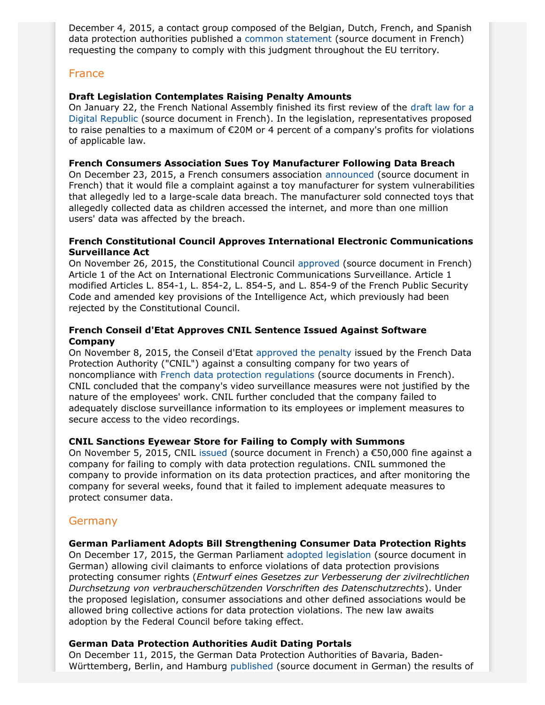December 4, 2015, a contact group composed of the Belgian, Dutch, French, and Spanish data protection authorities published a [common statement](https://www.privacycommission.be/sites/privacycommission/files/documents/Common%20statement%20FR.pdf) (source document in French) requesting the company to comply with this judgment throughout the EU territory.

# **France**

#### **Draft Legislation Contemplates Raising Penalty Amounts**

On January 22, the French National Assembly finished its first review of the [draft law for a](http://www.assemblee-nationale.fr/14/ta-pdf/3399-p.pdf) [Digital Republic](http://www.assemblee-nationale.fr/14/ta-pdf/3399-p.pdf) (source document in French). In the legislation, representatives proposed to raise penalties to a maximum of €20M or 4 percent of a company's profits for violations of applicable law.

#### **French Consumers Association Sues Toy Manufacturer Following Data Breach**

On December 23, 2015, a French consumers association [announced](http://www.larevuedudigital.com/2015/12/23/que-choisir-porte-plainte-contre-vtech-suite-au-piratage-des-coordonnees-de-2-millions-de-francais/) (source document in French) that it would file a complaint against a toy manufacturer for system vulnerabilities that allegedly led to a large-scale data breach. The manufacturer sold connected toys that allegedly collected data as children accessed the internet, and more than one million users' data was affected by the breach.

#### **French Constitutional Council Approves International Electronic Communications Surveillance Act**

On November 26, 2015, the Constitutional Council [approved](http://www.conseil-constitutionnel.fr/conseil-constitutionnel/francais/les-decisions/acces-par-date/decisions-depuis-1959/2015/2015-722-dc/decision-n-2015-722-dc-du-26-novembre-2015.146546.html) (source document in French) Article 1 of the Act on International Electronic Communications Surveillance. Article 1 modified Articles L. 854-1, L. 854-2, L. 854-5, and L. 854-9 of the French Public Security Code and amended key provisions of the Intelligence Act, which previously had been rejected by the Constitutional Council.

#### **French Conseil d'Etat Approves CNIL Sentence Issued Against Software Company**

On November 8, 2015, the Conseil d'Etat [approved the penalty](http://www.legalis.net/spip.php?page=breves-article&id_article=4811) issued by the French Data Protection Authority ("CNIL") against a consulting company for two years of noncompliance with [French data protection regulations](http://www.legalis.net/spip.php?page=breves-article&id_article=4811) (source documents in French). CNIL concluded that the company's video surveillance measures were not justified by the nature of the employees' work. CNIL further concluded that the company failed to adequately disclose surveillance information to its employees or implement measures to secure access to the video recordings.

#### **CNIL Sanctions Eyewear Store for Failing to Comply with Summons**

On November 5, 2015, CNIL [issued](http://www.cnil.fr/linstitution/actualite/article/article/defaut-de-securite-de-donnees-clients-sanction-de-50-000-EUR-a-lencontre-doptical-cente/) (source document in French) a  $\epsilon$ 50,000 fine against a company for failing to comply with data protection regulations. CNIL summoned the company to provide information on its data protection practices, and after monitoring the company for several weeks, found that it failed to implement adequate measures to protect consumer data.

# **Germany**

#### <span id="page-14-0"></span>**German Parliament Adopts Bill Strengthening Consumer Data Protection Rights**

On December 17, 2015, the German Parliament [adopted legislation](http://dip21.bundestag.de/dip21/btd/18/046/1804631.pdf) (source document in German) allowing civil claimants to enforce violations of data protection provisions protecting consumer rights (*Entwurf eines Gesetzes zur Verbesserung der zivilrechtlichen Durchsetzung von verbraucherschützenden Vorschriften des Datenschutzrechts*). Under the proposed legislation, consumer associations and other defined associations would be allowed bring collective actions for data protection violations. The new law awaits adoption by the Federal Council before taking effect.

#### **German Data Protection Authorities Audit Dating Portals**

On December 11, 2015, the German Data Protection Authorities of Bavaria, Baden-Württemberg, Berlin, and Hamburg [published](https://www.lda.bayern.de/lda/datenschutzaufsicht/lda_daten/151211%20-%20PM%20Dating-Portale%20Pruefergebnis.pdf) (source document in German) the results of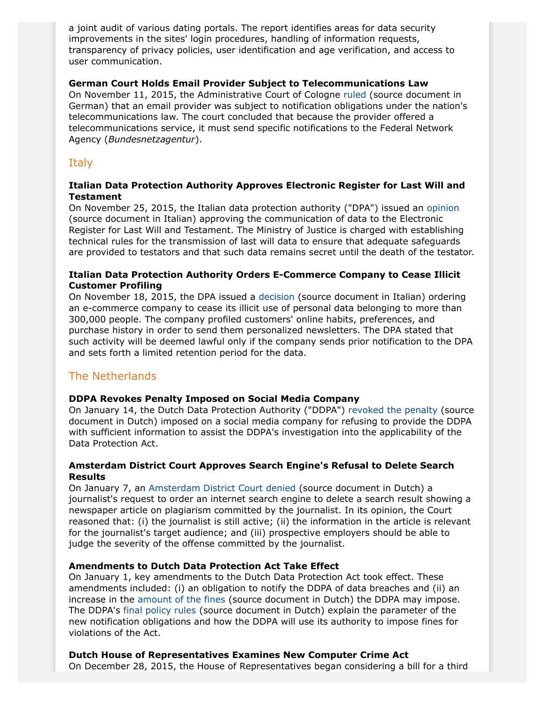a joint audit of various dating portals. The report identifies areas for data security improvements in the sites' login procedures, handling of information requests, transparency of privacy policies, user identification and age verification, and access to user communication.

#### **German Court Holds Email Provider Subject to Telecommunications Law**

On November 11, 2015, the Administrative Court of Cologne [ruled](https://www.justiz.nrw.de/nrwe/ovgs/vg_koeln/j2015/21_K_450_15_Urteil_20151111.html) (source document in German) that an email provider was subject to notification obligations under the nation's telecommunications law. The court concluded that because the provider offered a telecommunications service, it must send specific notifications to the Federal Network Agency (*Bundesnetzagentur*).

# **Italy**

#### **Italian Data Protection Authority Approves Electronic Register for Last Will and Testament**

On November 25, 2015, the Italian data protection authority ("DPA") issued an [opinion](http://garanteprivacy.it/web/guest/home/docweb/-/docweb-display/docweb/4538494) (source document in Italian) approving the communication of data to the Electronic Register for Last Will and Testament. The Ministry of Justice is charged with establishing technical rules for the transmission of last will data to ensure that adequate safeguards are provided to testators and that such data remains secret until the death of the testator.

### **Italian Data Protection Authority Orders E-Commerce Company to Cease Illicit Customer Profiling**

On November 18, 2015, the DPA issued a [decision](http://garanteprivacy.it/web/guest/home/docweb/-/docweb-display/docweb/4487559) (source document in Italian) ordering an e-commerce company to cease its illicit use of personal data belonging to more than 300,000 people. The company profiled customers' online habits, preferences, and purchase history in order to send them personalized newsletters. The DPA stated that such activity will be deemed lawful only if the company sends prior notification to the DPA and sets forth a limited retention period for the data.

# The Netherlands

# **DDPA Revokes Penalty Imposed on Social Media Company**

On January 14, the Dutch Data Protection Authority ("DDPA") [revoked the penalty](https://autoriteitpersoonsgegevens.nl/nl/nieuws/autoriteit-persoonsgegevens-last-onder-dwangsom-voor-facebook-herroepen) (source document in Dutch) imposed on a social media company for refusing to provide the DDPA with sufficient information to assist the DDPA's investigation into the applicability of the Data Protection Act.

# **Amsterdam District Court Approves Search Engine's Refusal to Delete Search Results**

On January 7, an [Amsterdam District Court denied](http://uitspraken.rechtspraak.nl/inziendocument?id=ECLI:NL:RBAMS:2015:9515) (source document in Dutch) a journalist's request to order an internet search engine to delete a search result showing a newspaper article on plagiarism committed by the journalist. In its opinion, the Court reasoned that: (i) the journalist is still active; (ii) the information in the article is relevant for the journalist's target audience; and (iii) prospective employers should be able to judge the severity of the offense committed by the journalist.

# **Amendments to Dutch Data Protection Act Take Effect**

On January 1, key amendments to the Dutch Data Protection Act took effect. These amendments included: (i) an obligation to notify the DDPA of data breaches and (ii) an increase in the [amount of the fines](https://autoriteitpersoonsgegevens.nl/sites/default/files/atoms/files/boetebeleidsregels_autoriteit_persoonsgegevens_staatscourant_2016-2043_0.pdf) (source document in Dutch) the DDPA may impose. The DDPA's [final policy rules](https://autoriteitpersoonsgegevens.nl/nl/nieuws/cbp-publiceert-beleidsregels-meldplicht-datalekken) (source document in Dutch) explain the parameter of the new notification obligations and how the DDPA will use its authority to impose fines for violations of the Act.

# **Dutch House of Representatives Examines New Computer Crime Act**

On December 28, 2015, the House of Representatives began considering a bill for a third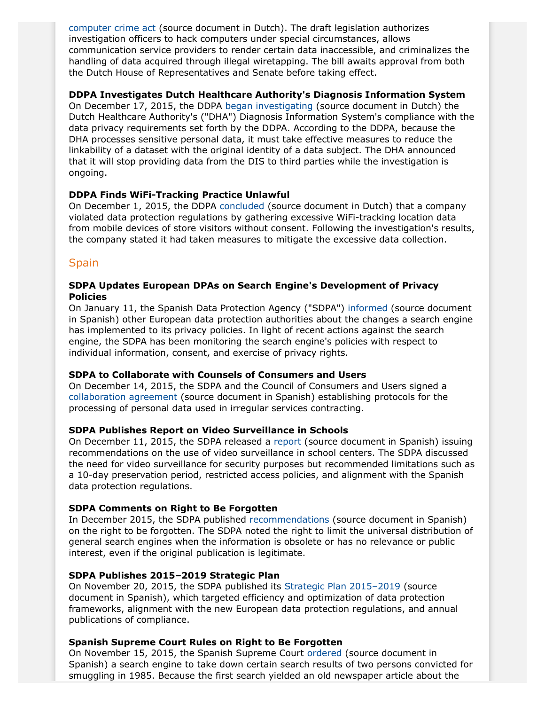[computer crime act](https://zoek.officielebekendmakingen.nl/kst-34372-2.html) (source document in Dutch). The draft legislation authorizes investigation officers to hack computers under special circumstances, allows communication service providers to render certain data inaccessible, and criminalizes the handling of data acquired through illegal wiretapping. The bill awaits approval from both the Dutch House of Representatives and Senate before taking effect.

#### **DDPA Investigates Dutch Healthcare Authority's Diagnosis Information System**

On December 17, 2015, the DDPA [began investigating](https://autoriteitpersoonsgegevens.nl/nl/nieuws/cbp-doet-onderzoek-dis-gegevens-bij-nza) (source document in Dutch) the Dutch Healthcare Authority's ("DHA") Diagnosis Information System's compliance with the data privacy requirements set forth by the DDPA. According to the DDPA, because the DHA processes sensitive personal data, it must take effective measures to reduce the linkability of a dataset with the original identity of a data subject. The DHA announced that it will stop providing data from the DIS to third parties while the investigation is ongoing.

#### **DDPA Finds WiFi-Tracking Practice Unlawful**

On December 1, 2015, the DDPA [concluded](https://autoriteitpersoonsgegevens.nl/nl/nieuws/cbp-wifi-tracking-rond-winkels-strijd-met-de-wet) (source document in Dutch) that a company violated data protection regulations by gathering excessive WiFi-tracking location data from mobile devices of store visitors without consent. Following the investigation's results, the company stated it had taken measures to mitigate the excessive data collection.

# Spain

#### **SDPA Updates European DPAs on Search Engine's Development of Privacy Policies**

On January 11, the Spanish Data Protection Agency ("SDPA") [informed](http://www.agpd.es/portalwebAGPD/revista_prensa/revista_prensa/2016/notas_prensa/news/2016_01_11-ides-idphp.php) (source document in Spanish) other European data protection authorities about the changes a search engine has implemented to its privacy policies. In light of recent actions against the search engine, the SDPA has been monitoring the search engine's policies with respect to individual information, consent, and exercise of privacy rights.

#### **SDPA to Collaborate with Counsels of Consumers and Users**

On December 14, 2015, the SDPA and the Council of Consumers and Users signed a [collaboration agreement](http://www.agpd.es/portalwebAGPD/revista_prensa/revista_prensa/2016/notas_prensa/news/2016_01_11-ides-idphp.php) (source document in Spanish) establishing protocols for the processing of personal data used in irregular services contracting.

# **SDPA Publishes Report on Video Surveillance in Schools**

On December 11, 2015, the SDPA released a [report](http://www.agpd.es/portalwebAGPD/canaldocumentacion/informes_juridicos/common/pdf_destacados/2014-0475_Sistema-de-videovigilancia-en-guarder-ii-a-para-control-laboral.pdf) (source document in Spanish) issuing recommendations on the use of video surveillance in school centers. The SDPA discussed the need for video surveillance for security purposes but recommended limitations such as a 10-day preservation period, restricted access policies, and alignment with the Spanish data protection regulations.

# **SDPA Comments on Right to Be Forgotten**

In December 2015, the SDPA published [recommendations](http://www.agpd.es/portalwebAGPD/CanalDelCiudadano/derecho_olvido/index-ides-idphp.php) (source document in Spanish) on the right to be forgotten. The SDPA noted the right to limit the universal distribution of general search engines when the information is obsolete or has no relevance or public interest, even if the original publication is legitimate.

# **SDPA Publishes 2015–2019 Strategic Plan**

On November 20, 2015, the SDPA published its [Strategic Plan 2015–2019](http://www.agpd.es/portalwebAGPD/revista_prensa/revista_prensa/2015/notas_prensa/news/2015_10_15-ides-idphp.php) (source document in Spanish), which targeted efficiency and optimization of data protection frameworks, alignment with the new European data protection regulations, and annual publications of compliance.

# **Spanish Supreme Court Rules on Right to Be Forgotten**

On November 15, 2015, the Spanish Supreme Court [ordered](http://www.poderjudicial.es/search/doAction?action=contentpdf&databasematch=TS&reference=7494889&links=derecho%20al%20olvido%20%22545%2F2015%22&optimize=20151019&publicinterface=true) (source document in Spanish) a search engine to take down certain search results of two persons convicted for smuggling in 1985. Because the first search yielded an old newspaper article about the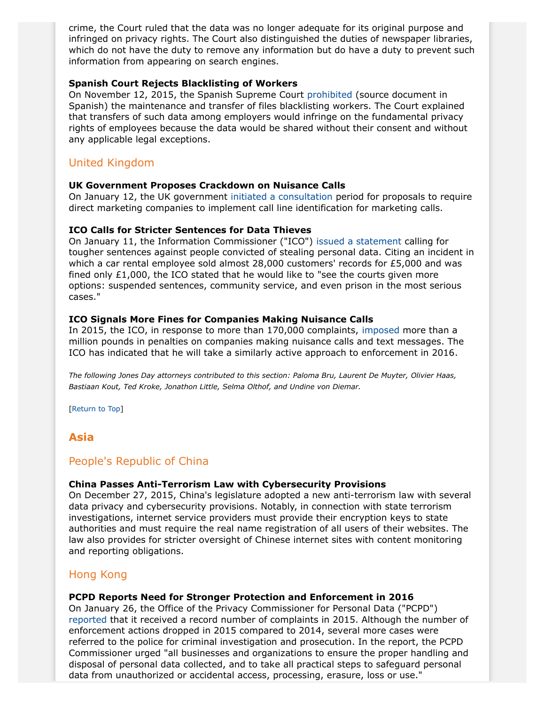crime, the Court ruled that the data was no longer adequate for its original purpose and infringed on privacy rights. The Court also distinguished the duties of newspaper libraries, which do not have the duty to remove any information but do have a duty to prevent such information from appearing on search engines.

#### **Spanish Court Rejects Blacklisting of Workers**

On November 12, 2015, the Spanish Supreme Court [prohibited](http://www.poderjudicial.es/search/doAction?action=contentpdf&databasematch=TS&reference=7527471&links=%22899%2F2014%22&optimize=20151120&publicinterface=true) (source document in Spanish) the maintenance and transfer of files blacklisting workers. The Court explained that transfers of such data among employers would infringe on the fundamental privacy rights of employees because the data would be shared without their consent and without any applicable legal exceptions.

# United Kingdom

#### **UK Government Proposes Crackdown on Nuisance Calls**

On January 12, the UK government [initiated a consultation](https://www.gov.uk/government/news/crackdown-on-nuisance-calls-to-make-marketing-companies-display-caller-id) period for proposals to require direct marketing companies to implement call line identification for marketing calls.

#### **ICO Calls for Stricter Sentences for Data Thieves**

On January 11, the Information Commissioner ("ICO") [issued a statement](https://ico.org.uk/about-the-ico/news-and-events/news-and-blogs/2016/01/information-commissioner-repeats-call-for-stronger-sentences-for-data-thieves/) calling for tougher sentences against people convicted of stealing personal data. Citing an incident in which a car rental employee sold almost 28,000 customers' records for £5,000 and was fined only £1,000, the ICO stated that he would like to "see the courts given more options: suspended sentences, community service, and even prison in the most serious cases."

#### **ICO Signals More Fines for Companies Making Nuisance Calls**

In 2015, the ICO, in response to more than 170,000 complaints, [imposed](https://ico.org.uk/about-the-ico/news-and-events/news-and-blogs/2015/12/nuisance-call-companies-warned-to-expect-more-fines-in-2016) more than a million pounds in penalties on companies making nuisance calls and text messages. The ICO has indicated that he will take a similarly active approach to enforcement in 2016.

*The following Jones Day attorneys contributed to this section: Paloma Bru, Laurent De Muyter, Olivier Haas, Bastiaan Kout, Ted Kroke, Jonathon Little, Selma Olthof, and Undine von Diemar.*

[Return to Top]

# <span id="page-17-0"></span>**Asia**

# People's Republic of China

#### **China Passes Anti-Terrorism Law with Cybersecurity Provisions**

On December 27, 2015, China's legislature adopted a new anti-terrorism law with several data privacy and cybersecurity provisions. Notably, in connection with state terrorism investigations, internet service providers must provide their encryption keys to state authorities and must require the real name registration of all users of their websites. The law also provides for stricter oversight of Chinese internet sites with content monitoring and reporting obligations.

# Hong Kong

#### **PCPD Reports Need for Stronger Protection and Enforcement in 2016**

On January 26, the Office of the Privacy Commissioner for Personal Data ("PCPD") [reported](https://www.pcpd.org.hk/english/news_events/media_statements/press_20160126a.html) that it received a record number of complaints in 2015. Although the number of enforcement actions dropped in 2015 compared to 2014, several more cases were referred to the police for criminal investigation and prosecution. In the report, the PCPD Commissioner urged "all businesses and organizations to ensure the proper handling and disposal of personal data collected, and to take all practical steps to safeguard personal data from unauthorized or accidental access, processing, erasure, loss or use."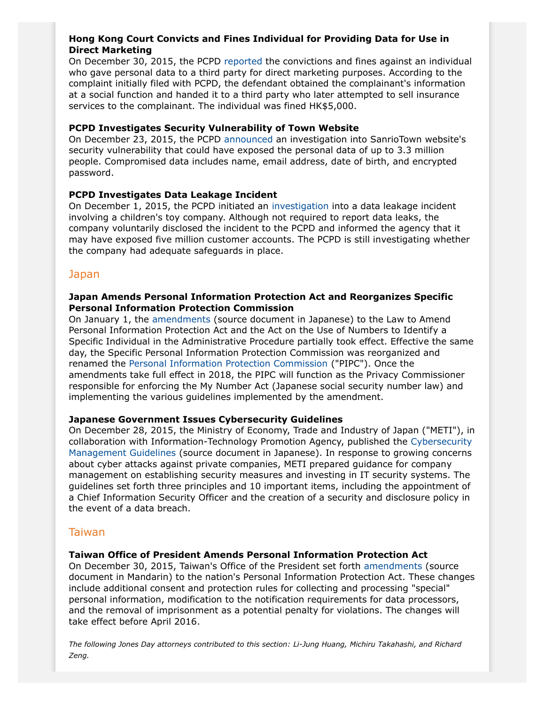### **Hong Kong Court Convicts and Fines Individual for Providing Data for Use in Direct Marketing**

On December 30, 2015, the PCPD [reported](https://www.pcpd.org.hk/english/news_events/media_statements/press_20151230.html) the convictions and fines against an individual who gave personal data to a third party for direct marketing purposes. According to the complaint initially filed with PCPD, the defendant obtained the complainant's information at a social function and handed it to a third party who later attempted to sell insurance services to the complainant. The individual was fined HK\$5,000.

#### **PCPD Investigates Security Vulnerability of Town Website**

On December 23, 2015, the PCPD [announced](https://www.pcpd.org.hk/english/news_events/media_statements/press_20151223.html) an investigation into SanrioTown website's security vulnerability that could have exposed the personal data of up to 3.3 million people. Compromised data includes name, email address, date of birth, and encrypted password.

#### **PCPD Investigates Data Leakage Incident**

On December 1, 2015, the PCPD initiated an [investigation](https://www.pcpd.org.hk/english/news_events/media_statements/press_20151201c.html) into a data leakage incident involving a children's toy company. Although not required to report data leaks, the company voluntarily disclosed the incident to the PCPD and informed the agency that it may have exposed five million customer accounts. The PCPD is still investigating whether the company had adequate safeguards in place.

# Japan

#### **Japan Amends Personal Information Protection Act and Reorganizes Specific Personal Information Protection Commission**

On January 1, the [amendments](http://www.kantei.go.jp/jp/singi/it2/pd/pdf/houritu_riyu.pdf) (source document in Japanese) to the Law to Amend Personal Information Protection Act and the Act on the Use of Numbers to Identify a Specific Individual in the Administrative Procedure partially took effect. Effective the same day, the Specific Personal Information Protection Commission was reorganized and renamed the [Personal Information Protection Commission](http://www.ppc.go.jp/en/) ("PIPC"). Once the amendments take full effect in 2018, the PIPC will function as the Privacy Commissioner responsible for enforcing the My Number Act (Japanese social security number law) and implementing the various guidelines implemented by the amendment.

#### <span id="page-18-0"></span>**Japanese Government Issues Cybersecurity Guidelines**

On December 28, 2015, the Ministry of Economy, Trade and Industry of Japan ("METI"), in collaboration with Information-Technology Promotion Agency, published the [Cybersecurity](http://www.meti.go.jp/press/2015/12/20151228002/20151228002-2.pdf) [Management Guidelines](http://www.meti.go.jp/press/2015/12/20151228002/20151228002-2.pdf) (source document in Japanese). In response to growing concerns about cyber attacks against private companies, METI prepared guidance for company management on establishing security measures and investing in IT security systems. The guidelines set forth three principles and 10 important items, including the appointment of a Chief Information Security Officer and the creation of a security and disclosure policy in the event of a data breach.

# Taiwan

#### **Taiwan Office of President Amends Personal Information Protection Act**

On December 30, 2015, Taiwan's Office of the President set forth [amendments](http://www.president.gov.tw/PORTALS/0/BULLETINS/PAPER/PDF/7226-42.PDF) (source document in Mandarin) to the nation's Personal Information Protection Act. These changes include additional consent and protection rules for collecting and processing "special" personal information, modification to the notification requirements for data processors, and the removal of imprisonment as a potential penalty for violations. The changes will take effect before April 2016.

*The following Jones Day attorneys contributed to this section: Li-Jung Huang, Michiru Takahashi, and Richard Zeng.*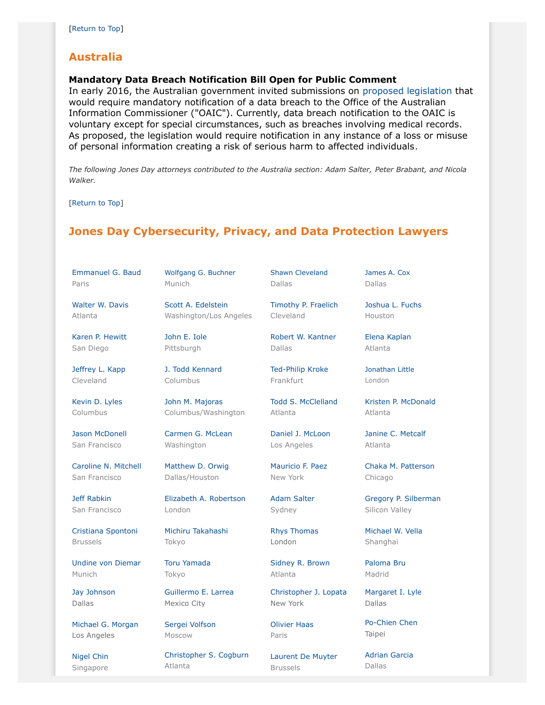# <span id="page-19-0"></span>**Australia**

#### <span id="page-19-2"></span>**Mandatory Data Breach Notification Bill Open for Public Comment**

In early 2016, the Australian government invited submissions on [proposed legislation](https://www.ag.gov.au/consultations/pages/serious-data-breach-notification.aspx) that would require mandatory notification of a data breach to the Office of the Australian Information Commissioner ("OAIC"). Currently, data breach notification to the OAIC is voluntary except for special circumstances, such as breaches involving medical records. As proposed, the legislation would require notification in any instance of a loss or misuse of personal information creating a risk of serious harm to affected individuals.

*The following Jones Day attorneys contributed to the Australia section: Adam Salter, Peter Brabant, and Nicola Walker.*

[Return to Top]

# <span id="page-19-1"></span>**Jones Day Cybersecurity, Privacy, and Data Protection Lawyers**

[Emmanuel G. Baud](http://www.jonesday.com/ebaud) Paris

[Walter W. Davis](http://www.jonesday.com/wwdavis) Atlanta

[Karen P. Hewitt](http://www.jonesday.com/kphewitt) San Diego

[Jeffrey L. Kapp](http://www.jonesday.com/jlkapp) Cleveland

[Kevin D. Lyles](http://www.jonesday.com/kdlyles) Columbus

[Jason McDonell](http://www.jonesday.com/jmcdonell) San Francisco

[Caroline N. Mitchell](http://www.jonesday.com/cnmitchell) San Francisco

[Jeff Rabkin](http://www.jonesday.com/jrabkin) San Francisco

[Cristiana Spontoni](http://www.jonesday.com/cspontoni) Brussels

[Undine von Diemar](http://www.jonesday.com/uvondiemar) Munich

[Jay Johnson](http://www.jonesday.com/jjohnson) Dallas

[Michael G. Morgan](http://www.jonesday.com/mgmorgan) Los Angeles

[Nigel Chin](http://www.jonesday.com/nchin) Singapore [Scott A. Edelstein](http://www.jonesday.com/sedelstein) Washington/Los Angeles

[Wolfgang G. Buchner](http://www.jonesday.com/wbuechner)

[John E. Iole](http://www.jonesday.com/jeiole/) Pittsburgh

Munich

[J. Todd Kennard](http://www.jonesday.com/jtkennard) Columbus

[John M. Majoras](http://www.jonesday.com/jmmajoras) Columbus/Washington

[Carmen G. McLean](http://www.jonesday.com/cgmclean) Washington

[Matthew D. Orwig](http://www.jonesday.com/morwig) Dallas/Houston

[Elizabeth A. Robertson](http://www.jonesday.com/erobertson) London

[Michiru Takahashi](http://www.jonesday.com/mtakahashi) Tokyo

#### [Toru Yamada](http://www.jonesday.com/tyamada) Tokyo

[Guillermo E. Larrea](http://www.jonesday.com/glarrea) Mexico City

[Sergei Volfson](http://www.jonesday.com/svolfson) Moscow

[Christopher S. Cogburn](http://www.jonesday.com/ccogburn) Atlanta

[Shawn Cleveland](http://www.jonesday.com/scleveland) Dallas

[Timothy P. Fraelich](http://www.jonesday.com/tfraelich)

[Robert W. Kantner](http://www.jonesday.com/rwkantner)

[Ted-Philip Kroke](http://www.jonesday.com/tkroke) Frankfurt

[Daniel J. McLoon](http://www.jonesday.com/djmcloon) Los Angeles

[Mauricio F. Paez](http://www.jonesday.com/mfpaez) New York

[Adam Salter](http://www.jonesday.com/asalter) Sydney

[Rhys Thomas](http://www.jonesday.com/rethomas) London

Atlanta

Cleveland

Dallas

Atlanta

Dallas

[James A. Cox](http://www.jonesday.com/jacox)

[Joshua L. Fuchs](http://www.jonesday.com/jlfuchs) Houston

[Elena Kaplan](http://www.jonesday.com/ekaplan) Atlanta

[Jonathan Little](http://www.jonesday.com/jrlittle) London

[Kristen P. McDonald](http://www.jonesday.com/kmcdonald) Atlanta

Chicago

Silicon Valley

[Michael W. Vella](http://www.jonesday.com/mvella) Shanghai

[Paloma Bru](http://www.jonesday.com/pbru)

[Margaret I. Lyle](http://www.jonesday.com/milyle)

Taipei

[Adrian Garcia](http://www.jonesday.com/agarcia) Dallas

Atlanta

Todd [S. McClelland](http://www.jonesday.com/tmcclelland)

[Janine C. Metcalf](http://www.jonesday.com/jmetcalf)

[Chaka M. Patterson](http://www.jonesday.com/cpatterson)

[Gregory P. Silberman](http://www.jonesday.com/gpsilberman)

Madrid

Dallas

[Po-Chien Chen](http://www.jonesday.com/pochienchen)

# [Sidney R. Brown](http://www.jonesday.com/srbrown)

#### [Christopher J. Lopata](http://www.jonesday.com/cjlopata) New York

[Olivier Haas](http://www.jonesday.com/ohaas) Paris

Brussels

[Laurent De Muyter](http://www.jonesday.com/ldemuyter)